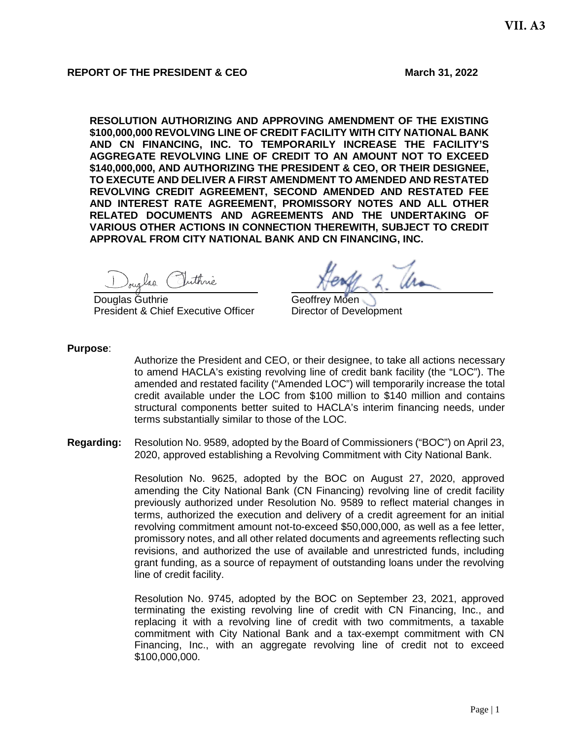#### **REPORT OF THE PRESIDENT & CEO March 31, 2022**

**RESOLUTION AUTHORIZING AND APPROVING AMENDMENT OF THE EXISTING \$100,000,000 REVOLVING LINE OF CREDIT FACILITY WITH CITY NATIONAL BANK AND CN FINANCING, INC. TO TEMPORARILY INCREASE THE FACILITY'S AGGREGATE REVOLVING LINE OF CREDIT TO AN AMOUNT NOT TO EXCEED \$140,000,000, AND AUTHORIZING THE PRESIDENT & CEO, OR THEIR DESIGNEE, TO EXECUTE AND DELIVER A FIRST AMENDMENT TO AMENDED AND RESTATED REVOLVING CREDIT AGREEMENT, SECOND AMENDED AND RESTATED FEE AND INTEREST RATE AGREEMENT, PROMISSORY NOTES AND ALL OTHER RELATED DOCUMENTS AND AGREEMENTS AND THE UNDERTAKING OF VARIOUS OTHER ACTIONS IN CONNECTION THEREWITH, SUBJECT TO CREDIT APPROVAL FROM CITY NATIONAL BANK AND CN FINANCING, INC.**

Douglas Puthrie

Douglas Guthrie Christian Contract Christian Contract Christian Christian Christian Christian Christian Christian President & Chief Executive Officer Director of Development

**Purpose**:

Authorize the President and CEO, or their designee, to take all actions necessary to amend HACLA's existing revolving line of credit bank facility (the "LOC"). The amended and restated facility ("Amended LOC") will temporarily increase the total credit available under the LOC from \$100 million to \$140 million and contains structural components better suited to HACLA's interim financing needs, under terms substantially similar to those of the LOC.

**Regarding:** Resolution No. 9589, adopted by the Board of Commissioners ("BOC") on April 23, 2020, approved establishing a Revolving Commitment with City National Bank.

> Resolution No. 9625, adopted by the BOC on August 27, 2020, approved amending the City National Bank (CN Financing) revolving line of credit facility previously authorized under Resolution No. 9589 to reflect material changes in terms, authorized the execution and delivery of a credit agreement for an initial revolving commitment amount not-to-exceed \$50,000,000, as well as a fee letter, promissory notes, and all other related documents and agreements reflecting such revisions, and authorized the use of available and unrestricted funds, including grant funding, as a source of repayment of outstanding loans under the revolving line of credit facility.

> Resolution No. 9745, adopted by the BOC on September 23, 2021, approved terminating the existing revolving line of credit with CN Financing, Inc., and replacing it with a revolving line of credit with two commitments, a taxable commitment with City National Bank and a tax-exempt commitment with CN Financing, Inc., with an aggregate revolving line of credit not to exceed \$100,000,000.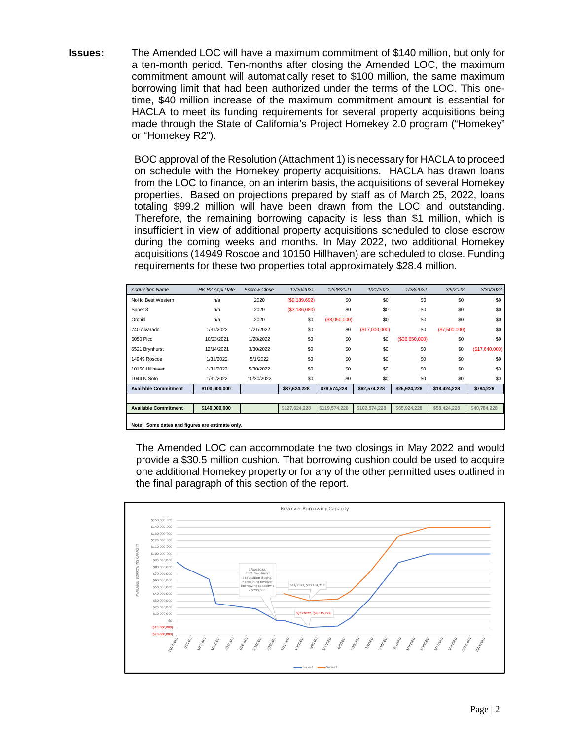**Issues:** The Amended LOC will have a maximum commitment of \$140 million, but only for a ten-month period. Ten-months after closing the Amended LOC, the maximum commitment amount will automatically reset to \$100 million, the same maximum borrowing limit that had been authorized under the terms of the LOC. This onetime, \$40 million increase of the maximum commitment amount is essential for HACLA to meet its funding requirements for several property acquisitions being made through the State of California's Project Homekey 2.0 program ("Homekey" or "Homekey R2").

> BOC approval of the Resolution (Attachment 1) is necessary for HACLA to proceed on schedule with the Homekey property acquisitions. HACLA has drawn loans from the LOC to finance, on an interim basis, the acquisitions of several Homekey properties. Based on projections prepared by staff as of March 25, 2022, loans totaling \$99.2 million will have been drawn from the LOC and outstanding. Therefore, the remaining borrowing capacity is less than \$1 million, which is insufficient in view of additional property acquisitions scheduled to close escrow during the coming weeks and months. In May 2022, two additional Homekey acquisitions (14949 Roscoe and 10150 Hillhaven) are scheduled to close. Funding requirements for these two properties total approximately \$28.4 million.

| <b>Acquisition Name</b>                         | HK R2 Appl Date | <b>Escrow Close</b> | 12/20/2021     | 12/28/2021    | 1/21/2022     | 1/28/2022      | 3/9/2022      | 3/30/2022       |
|-------------------------------------------------|-----------------|---------------------|----------------|---------------|---------------|----------------|---------------|-----------------|
| NoHo Best Western                               | n/a             | 2020                | (S9, 189, 692) | \$0           | \$0           | \$0            | \$0           | \$0             |
| Super 8                                         | n/a             | 2020                | (S3, 186, 080) | \$0           | \$0           | \$0            | \$0           | \$0             |
| Orchid                                          | n/a             | 2020                | \$0            | (\$8,050,000) | \$0           | \$0            | \$0           | \$0             |
| 740 Alvarado                                    | 1/31/2022       | 1/21/2022           | \$0            | \$0           | (S17,000,000) | \$0            | (\$7,500,000) | \$0             |
| 5050 Pico                                       | 10/23/2021      | 1/28/2022           | \$0            | \$0           | \$0           | (\$36,650,000) | \$0           | \$0             |
| 6521 Brynhurst                                  | 12/14/2021      | 3/30/2022           | \$0            | \$0           | \$0           | \$0            | \$0           | (S17, 640, 000) |
| 14949 Roscoe                                    | 1/31/2022       | 5/1/2022            | \$0            | \$0           | \$0           | \$0            | \$0           | \$0             |
| 10150 Hillhaven                                 | 1/31/2022       | 5/30/2022           | \$0            | \$0           | \$0           | \$0            | \$0           | \$0             |
| 1044 N Soto                                     | 1/31/2022       | 10/30/2022          | \$0            | \$0           | \$0           | \$0            | \$0           | \$0             |
| <b>Available Commitment</b>                     | \$100,000,000   |                     | \$87,624,228   | \$79,574,228  | \$62,574,228  | \$25,924,228   | \$18,424,228  | \$784,228       |
|                                                 |                 |                     |                |               |               |                |               |                 |
| <b>Available Commitment</b>                     | \$140,000,000   |                     | \$127,624,228  | \$119,574,228 | \$102,574,228 | \$65,924,228   | \$58,424,228  | \$40,784,228    |
| Note: Some dates and figures are estimate only. |                 |                     |                |               |               |                |               |                 |

The Amended LOC can accommodate the two closings in May 2022 and would provide a \$30.5 million cushion. That borrowing cushion could be used to acquire one additional Homekey property or for any of the other permitted uses outlined in the final paragraph of this section of the report.

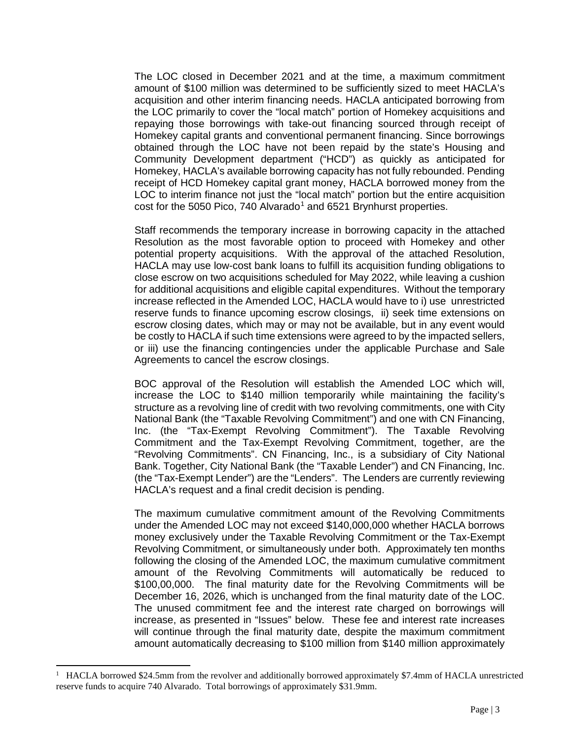The LOC closed in December 2021 and at the time, a maximum commitment amount of \$100 million was determined to be sufficiently sized to meet HACLA's acquisition and other interim financing needs. HACLA anticipated borrowing from the LOC primarily to cover the "local match" portion of Homekey acquisitions and repaying those borrowings with take-out financing sourced through receipt of Homekey capital grants and conventional permanent financing. Since borrowings obtained through the LOC have not been repaid by the state's Housing and Community Development department ("HCD") as quickly as anticipated for Homekey, HACLA's available borrowing capacity has not fully rebounded. Pending receipt of HCD Homekey capital grant money, HACLA borrowed money from the LOC to interim finance not just the "local match" portion but the entire acquisition cost for the 5050 Pico, 740 Alvarado<sup>[1](#page-2-0)</sup> and 6521 Brynhurst properties.

Staff recommends the temporary increase in borrowing capacity in the attached Resolution as the most favorable option to proceed with Homekey and other potential property acquisitions. With the approval of the attached Resolution, HACLA may use low-cost bank loans to fulfill its acquisition funding obligations to close escrow on two acquisitions scheduled for May 2022, while leaving a cushion for additional acquisitions and eligible capital expenditures. Without the temporary increase reflected in the Amended LOC, HACLA would have to i) use unrestricted reserve funds to finance upcoming escrow closings, ii) seek time extensions on escrow closing dates, which may or may not be available, but in any event would be costly to HACLA if such time extensions were agreed to by the impacted sellers, or iii) use the financing contingencies under the applicable Purchase and Sale Agreements to cancel the escrow closings.

BOC approval of the Resolution will establish the Amended LOC which will, increase the LOC to \$140 million temporarily while maintaining the facility's structure as a revolving line of credit with two revolving commitments, one with City National Bank (the "Taxable Revolving Commitment") and one with CN Financing, Inc. (the "Tax-Exempt Revolving Commitment"). The Taxable Revolving Commitment and the Tax-Exempt Revolving Commitment, together, are the "Revolving Commitments". CN Financing, Inc., is a subsidiary of City National Bank. Together, City National Bank (the "Taxable Lender") and CN Financing, Inc. (the "Tax-Exempt Lender") are the "Lenders". The Lenders are currently reviewing HACLA's request and a final credit decision is pending.

The maximum cumulative commitment amount of the Revolving Commitments under the Amended LOC may not exceed \$140,000,000 whether HACLA borrows money exclusively under the Taxable Revolving Commitment or the Tax-Exempt Revolving Commitment, or simultaneously under both. Approximately ten months following the closing of the Amended LOC, the maximum cumulative commitment amount of the Revolving Commitments will automatically be reduced to \$100,00,000. The final maturity date for the Revolving Commitments will be December 16, 2026, which is unchanged from the final maturity date of the LOC. The unused commitment fee and the interest rate charged on borrowings will increase, as presented in "Issues" below. These fee and interest rate increases will continue through the final maturity date, despite the maximum commitment amount automatically decreasing to \$100 million from \$140 million approximately

<span id="page-2-0"></span> $\frac{1}{1}$  HACLA borrowed \$24.5mm from the revolver and additionally borrowed approximately \$7.4mm of HACLA unrestricted reserve funds to acquire 740 Alvarado. Total borrowings of approximately \$31.9mm.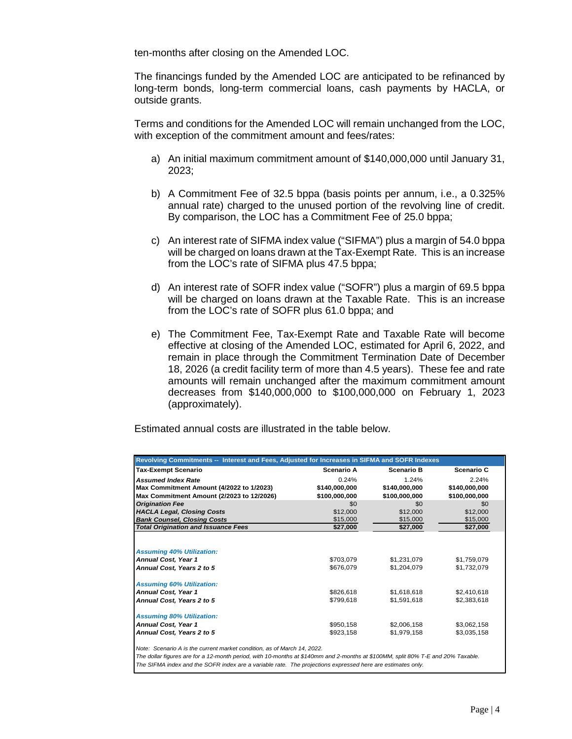ten-months after closing on the Amended LOC.

The financings funded by the Amended LOC are anticipated to be refinanced by long-term bonds, long-term commercial loans, cash payments by HACLA, or outside grants.

Terms and conditions for the Amended LOC will remain unchanged from the LOC, with exception of the commitment amount and fees/rates:

- a) An initial maximum commitment amount of \$140,000,000 until January 31, 2023;
- b) A Commitment Fee of 32.5 bppa (basis points per annum, i.e., a 0.325% annual rate) charged to the unused portion of the revolving line of credit. By comparison, the LOC has a Commitment Fee of 25.0 bppa;
- c) An interest rate of SIFMA index value ("SIFMA") plus a margin of 54.0 bppa will be charged on loans drawn at the Tax-Exempt Rate. This is an increase from the LOC's rate of SIFMA plus 47.5 bppa;
- d) An interest rate of SOFR index value ("SOFR") plus a margin of 69.5 bppa will be charged on loans drawn at the Taxable Rate. This is an increase from the LOC's rate of SOFR plus 61.0 bppa; and
- e) The Commitment Fee, Tax-Exempt Rate and Taxable Rate will become effective at closing of the Amended LOC, estimated for April 6, 2022, and remain in place through the Commitment Termination Date of December 18, 2026 (a credit facility term of more than 4.5 years). These fee and rate amounts will remain unchanged after the maximum commitment amount decreases from \$140,000,000 to \$100,000,000 on February 1, 2023 (approximately).

Estimated annual costs are illustrated in the table below.

| <b>Tax-Exempt Scenario</b>                                                                                                      | <b>Scenario A</b>      | <b>Scenario B</b>          | <b>Scenario C</b>          |
|---------------------------------------------------------------------------------------------------------------------------------|------------------------|----------------------------|----------------------------|
| <b>Assumed Index Rate</b>                                                                                                       | 0.24%                  | 1.24%                      | 2.24%                      |
| Max Commitment Amount (4/2022 to 1/2023)                                                                                        | \$140,000,000          | \$140,000,000              | \$140,000,000              |
| Max Commitment Amount (2/2023 to 12/2026)                                                                                       | \$100,000,000          | \$100,000,000              | \$100,000,000              |
| <b>Origination Fee</b>                                                                                                          | \$0                    | \$0                        | \$0                        |
| <b>HACLA Legal, Closing Costs</b>                                                                                               | \$12,000               | \$12,000                   | \$12,000                   |
| <b>Bank Counsel, Closing Costs</b>                                                                                              | \$15,000               | \$15,000                   | \$15,000                   |
| <b>Total Origination and Issuance Fees</b>                                                                                      | \$27,000               | \$27,000                   | \$27,000                   |
| <b>Assuming 40% Utilization:</b><br><b>Annual Cost, Year 1</b><br>Annual Cost, Years 2 to 5<br><b>Assuming 60% Utilization:</b> | \$703,079<br>\$676,079 | \$1,231,079<br>\$1,204,079 | \$1,759,079<br>\$1,732,079 |
| <b>Annual Cost, Year 1</b>                                                                                                      | \$826,618              | \$1,618,618                | \$2,410,618                |
| Annual Cost, Years 2 to 5                                                                                                       | \$799,618              | \$1,591,618                | \$2,383,618                |
| <b>Assuming 80% Utilization:</b>                                                                                                |                        |                            |                            |
| <b>Annual Cost, Year 1</b>                                                                                                      | \$950,158              | \$2,006,158                | \$3,062,158                |
| Annual Cost, Years 2 to 5                                                                                                       | \$923,158              | \$1,979,158                | \$3,035,158                |

*Note: Scenario A is the current market condition, as of March 14, 2022.*

*The dollar figures are for a 12-month period, with 10-months at \$140mm and 2-months at \$100MM, split 80% T-E and 20% Taxable. The SIFMA index and the SOFR index are a variable rate. The projections expressed here are estimates only.*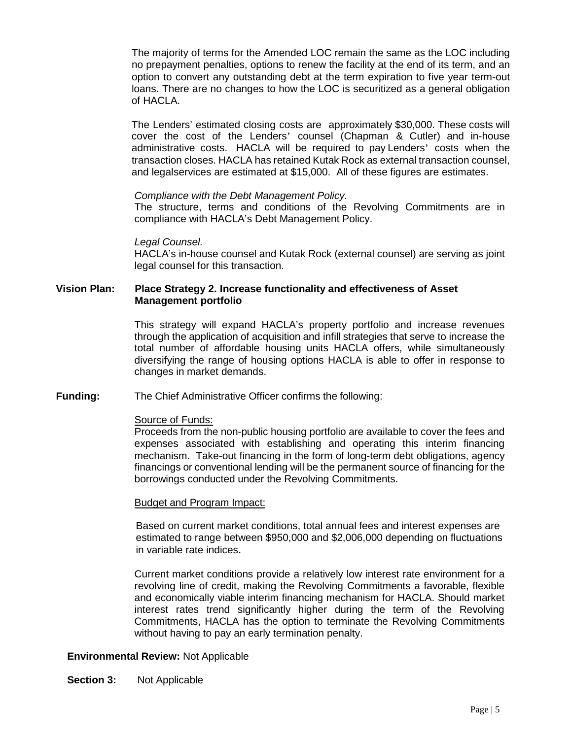The majority of terms for the Amended LOC remain the same as the LOC including no prepayment penalties, options to renew the facility at the end of its term, and an option to convert any outstanding debt at the term expiration to five year term-out loans. There are no changes to how the LOC is securitized as a general obligation of HACLA.

The Lenders' estimated closing costs are approximately \$30,000. These costs will cover the cost of the Lenders' counsel (Chapman & Cutler) and in-house administrative costs. HACLA will be required to pay Lenders' costs when the transaction closes. HACLA has retained Kutak Rock as external transaction counsel, and legalservices are estimated at \$15,000. All of these figures are estimates.

*Compliance with the Debt Management Policy.*

The structure, terms and conditions of the Revolving Commitments are in compliance with HACLA's Debt Management Policy.

*Legal Counsel.*

HACLA's in-house counsel and Kutak Rock (external counsel) are serving as joint legal counsel for this transaction.

#### **Vision Plan: Place Strategy 2. Increase functionality and effectiveness of Asset Management portfolio**

This strategy will expand HACLA's property portfolio and increase revenues through the application of acquisition and infill strategies that serve to increase the total number of affordable housing units HACLA offers, while simultaneously diversifying the range of housing options HACLA is able to offer in response to changes in market demands.

#### **Funding:** The Chief Administrative Officer confirms the following:

#### Source of Funds:

Proceeds from the non-public housing portfolio are available to cover the fees and expenses associated with establishing and operating this interim financing mechanism. Take-out financing in the form of long-term debt obligations, agency financings or conventional lending will be the permanent source of financing for the borrowings conducted under the Revolving Commitments.

#### Budget and Program Impact:

Based on current market conditions, total annual fees and interest expenses are estimated to range between \$950,000 and \$2,006,000 depending on fluctuations in variable rate indices.

Current market conditions provide a relatively low interest rate environment for a revolving line of credit, making the Revolving Commitments a favorable, flexible and economically viable interim financing mechanism for HACLA. Should market interest rates trend significantly higher during the term of the Revolving Commitments, HACLA has the option to terminate the Revolving Commitments without having to pay an early termination penalty.

#### **Environmental Review:** Not Applicable

**Section 3:** Not Applicable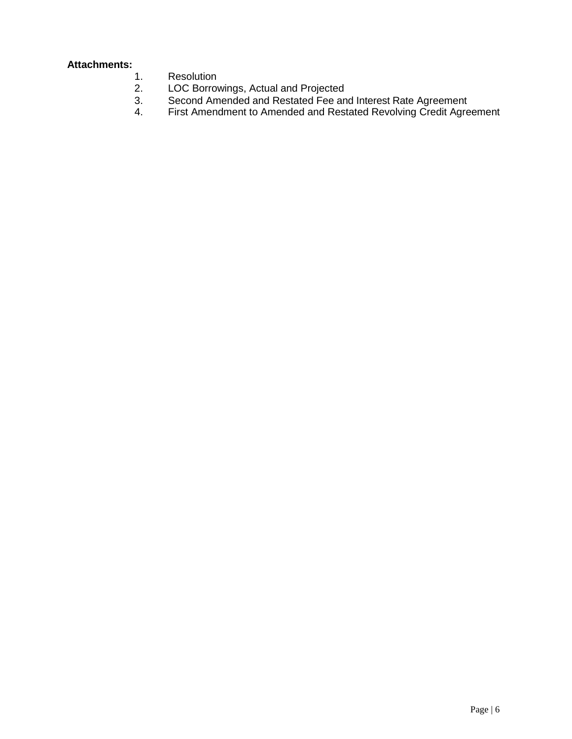## **Attachments:**

- 1. Resolution<br>2. LOC Borrov
- 2. LOC Borrowings, Actual and Projected
- 3. Second Amended and Restated Fee and Interest Rate Agreement
- 4. First Amendment to Amended and Restated Revolving Credit Agreement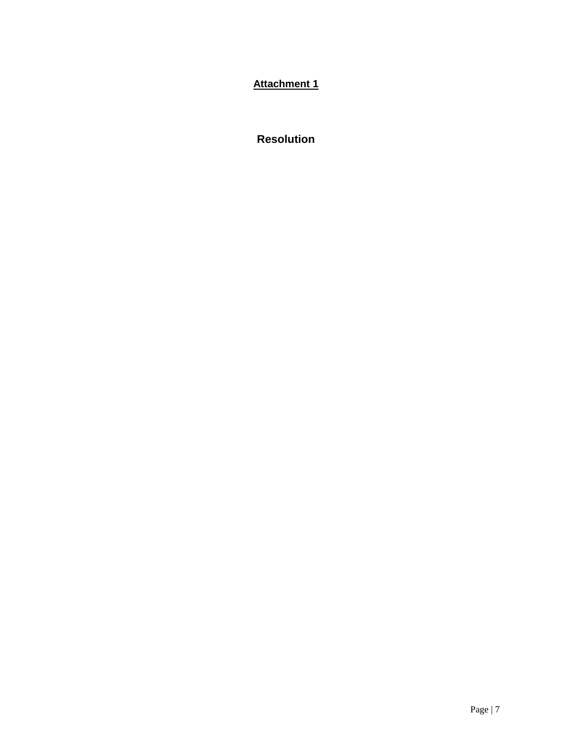**Attachment 1**

**Resolution**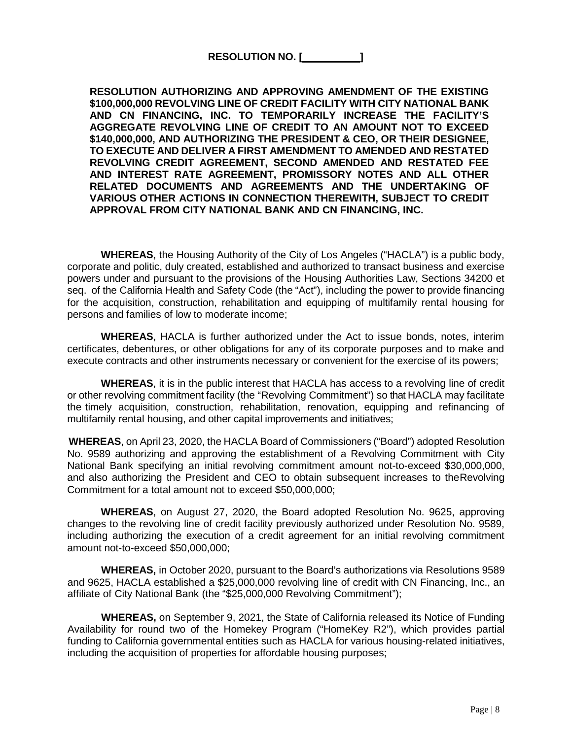**RESOLUTION NO. [ ]** 

**RESOLUTION AUTHORIZING AND APPROVING AMENDMENT OF THE EXISTING \$100,000,000 REVOLVING LINE OF CREDIT FACILITY WITH CITY NATIONAL BANK AND CN FINANCING, INC. TO TEMPORARILY INCREASE THE FACILITY'S AGGREGATE REVOLVING LINE OF CREDIT TO AN AMOUNT NOT TO EXCEED \$140,000,000, AND AUTHORIZING THE PRESIDENT & CEO, OR THEIR DESIGNEE, TO EXECUTE AND DELIVER A FIRST AMENDMENT TO AMENDED AND RESTATED REVOLVING CREDIT AGREEMENT, SECOND AMENDED AND RESTATED FEE AND INTEREST RATE AGREEMENT, PROMISSORY NOTES AND ALL OTHER RELATED DOCUMENTS AND AGREEMENTS AND THE UNDERTAKING OF VARIOUS OTHER ACTIONS IN CONNECTION THEREWITH, SUBJECT TO CREDIT APPROVAL FROM CITY NATIONAL BANK AND CN FINANCING, INC.**

**WHEREAS**, the Housing Authority of the City of Los Angeles ("HACLA") is a public body, corporate and politic, duly created, established and authorized to transact business and exercise powers under and pursuant to the provisions of the Housing Authorities Law, Sections 34200 et seq. of the California Health and Safety Code (the "Act"), including the power to provide financing for the acquisition, construction, rehabilitation and equipping of multifamily rental housing for persons and families of low to moderate income;

**WHEREAS**, HACLA is further authorized under the Act to issue bonds, notes, interim certificates, debentures, or other obligations for any of its corporate purposes and to make and execute contracts and other instruments necessary or convenient for the exercise of its powers;

**WHEREAS**, it is in the public interest that HACLA has access to a revolving line of credit or other revolving commitment facility (the "Revolving Commitment") so that HACLA may facilitate the timely acquisition, construction, rehabilitation, renovation, equipping and refinancing of multifamily rental housing, and other capital improvements and initiatives;

**WHEREAS**, on April 23, 2020, the HACLA Board of Commissioners ("Board") adopted Resolution No. 9589 authorizing and approving the establishment of a Revolving Commitment with City National Bank specifying an initial revolving commitment amount not-to-exceed \$30,000,000, and also authorizing the President and CEO to obtain subsequent increases to theRevolving Commitment for a total amount not to exceed \$50,000,000;

**WHEREAS**, on August 27, 2020, the Board adopted Resolution No. 9625, approving changes to the revolving line of credit facility previously authorized under Resolution No. 9589, including authorizing the execution of a credit agreement for an initial revolving commitment amount not-to-exceed \$50,000,000;

**WHEREAS,** in October 2020, pursuant to the Board's authorizations via Resolutions 9589 and 9625, HACLA established a \$25,000,000 revolving line of credit with CN Financing, Inc., an affiliate of City National Bank (the "\$25,000,000 Revolving Commitment");

**WHEREAS,** on September 9, 2021, the State of California released its Notice of Funding Availability for round two of the Homekey Program ("HomeKey R2"), which provides partial funding to California governmental entities such as HACLA for various housing-related initiatives, including the acquisition of properties for affordable housing purposes;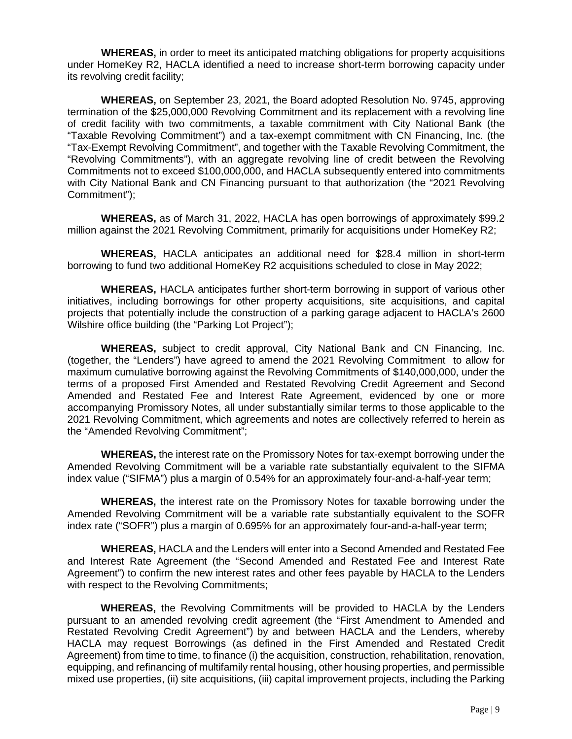**WHEREAS,** in order to meet its anticipated matching obligations for property acquisitions under HomeKey R2, HACLA identified a need to increase short-term borrowing capacity under its revolving credit facility;

**WHEREAS,** on September 23, 2021, the Board adopted Resolution No. 9745, approving termination of the \$25,000,000 Revolving Commitment and its replacement with a revolving line of credit facility with two commitments, a taxable commitment with City National Bank (the "Taxable Revolving Commitment") and a tax-exempt commitment with CN Financing, Inc. (the "Tax-Exempt Revolving Commitment", and together with the Taxable Revolving Commitment, the "Revolving Commitments"), with an aggregate revolving line of credit between the Revolving Commitments not to exceed \$100,000,000, and HACLA subsequently entered into commitments with City National Bank and CN Financing pursuant to that authorization (the "2021 Revolving Commitment");

**WHEREAS,** as of March 31, 2022, HACLA has open borrowings of approximately \$99.2 million against the 2021 Revolving Commitment, primarily for acquisitions under HomeKey R2;

**WHEREAS,** HACLA anticipates an additional need for \$28.4 million in short-term borrowing to fund two additional HomeKey R2 acquisitions scheduled to close in May 2022;

**WHEREAS,** HACLA anticipates further short-term borrowing in support of various other initiatives, including borrowings for other property acquisitions, site acquisitions, and capital projects that potentially include the construction of a parking garage adjacent to HACLA's 2600 Wilshire office building (the "Parking Lot Project");

**WHEREAS,** subject to credit approval, City National Bank and CN Financing, Inc. (together, the "Lenders") have agreed to amend the 2021 Revolving Commitment to allow for maximum cumulative borrowing against the Revolving Commitments of \$140,000,000, under the terms of a proposed First Amended and Restated Revolving Credit Agreement and Second Amended and Restated Fee and Interest Rate Agreement, evidenced by one or more accompanying Promissory Notes, all under substantially similar terms to those applicable to the 2021 Revolving Commitment, which agreements and notes are collectively referred to herein as the "Amended Revolving Commitment";

**WHEREAS,** the interest rate on the Promissory Notes for tax-exempt borrowing under the Amended Revolving Commitment will be a variable rate substantially equivalent to the SIFMA index value ("SIFMA") plus a margin of 0.54% for an approximately four-and-a-half-year term;

**WHEREAS,** the interest rate on the Promissory Notes for taxable borrowing under the Amended Revolving Commitment will be a variable rate substantially equivalent to the SOFR index rate ("SOFR") plus a margin of 0.695% for an approximately four-and-a-half-year term;

**WHEREAS,** HACLA and the Lenders will enter into a Second Amended and Restated Fee and Interest Rate Agreement (the "Second Amended and Restated Fee and Interest Rate Agreement") to confirm the new interest rates and other fees payable by HACLA to the Lenders with respect to the Revolving Commitments;

**WHEREAS,** the Revolving Commitments will be provided to HACLA by the Lenders pursuant to an amended revolving credit agreement (the "First Amendment to Amended and Restated Revolving Credit Agreement") by and between HACLA and the Lenders, whereby HACLA may request Borrowings (as defined in the First Amended and Restated Credit Agreement) from time to time, to finance (i) the acquisition, construction, rehabilitation, renovation, equipping, and refinancing of multifamily rental housing, other housing properties, and permissible mixed use properties, (ii) site acquisitions, (iii) capital improvement projects, including the Parking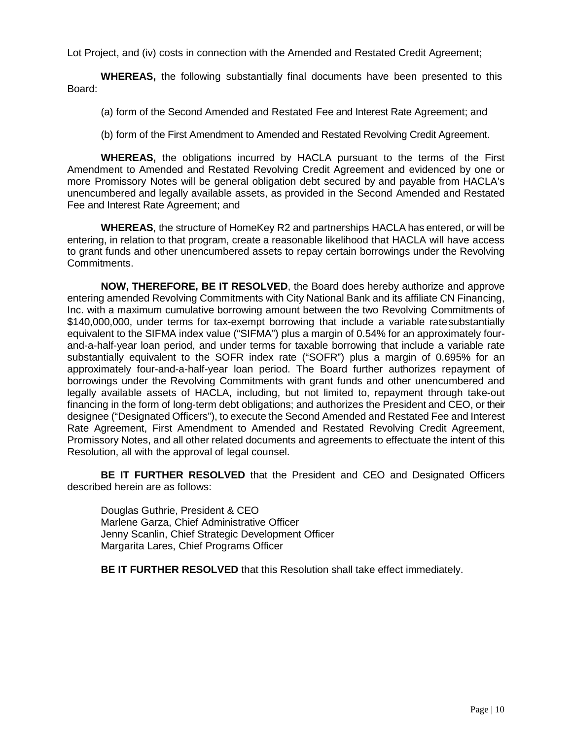Lot Project, and (iv) costs in connection with the Amended and Restated Credit Agreement;

**WHEREAS,** the following substantially final documents have been presented to this Board:

- (a) form of the Second Amended and Restated Fee and Interest Rate Agreement; and
- (b) form of the First Amendment to Amended and Restated Revolving Credit Agreement.

**WHEREAS,** the obligations incurred by HACLA pursuant to the terms of the First Amendment to Amended and Restated Revolving Credit Agreement and evidenced by one or more Promissory Notes will be general obligation debt secured by and payable from HACLA's unencumbered and legally available assets, as provided in the Second Amended and Restated Fee and Interest Rate Agreement; and

**WHEREAS**, the structure of HomeKey R2 and partnerships HACLA has entered, or will be entering, in relation to that program, create a reasonable likelihood that HACLA will have access to grant funds and other unencumbered assets to repay certain borrowings under the Revolving Commitments.

**NOW, THEREFORE, BE IT RESOLVED**, the Board does hereby authorize and approve entering amended Revolving Commitments with City National Bank and its affiliate CN Financing, Inc. with a maximum cumulative borrowing amount between the two Revolving Commitments of \$140,000,000, under terms for tax-exempt borrowing that include a variable ratesubstantially equivalent to the SIFMA index value ("SIFMA") plus a margin of 0.54% for an approximately fourand-a-half-year loan period, and under terms for taxable borrowing that include a variable rate substantially equivalent to the SOFR index rate ("SOFR") plus a margin of 0.695% for an approximately four-and-a-half-year loan period. The Board further authorizes repayment of borrowings under the Revolving Commitments with grant funds and other unencumbered and legally available assets of HACLA, including, but not limited to, repayment through take-out financing in the form of long-term debt obligations; and authorizes the President and CEO, or their designee ("Designated Officers"), to execute the Second Amended and Restated Fee and Interest Rate Agreement, First Amendment to Amended and Restated Revolving Credit Agreement, Promissory Notes, and all other related documents and agreements to effectuate the intent of this Resolution, all with the approval of legal counsel.

**BE IT FURTHER RESOLVED** that the President and CEO and Designated Officers described herein are as follows:

Douglas Guthrie, President & CEO Marlene Garza, Chief Administrative Officer Jenny Scanlin, Chief Strategic Development Officer Margarita Lares, Chief Programs Officer

**BE IT FURTHER RESOLVED** that this Resolution shall take effect immediately.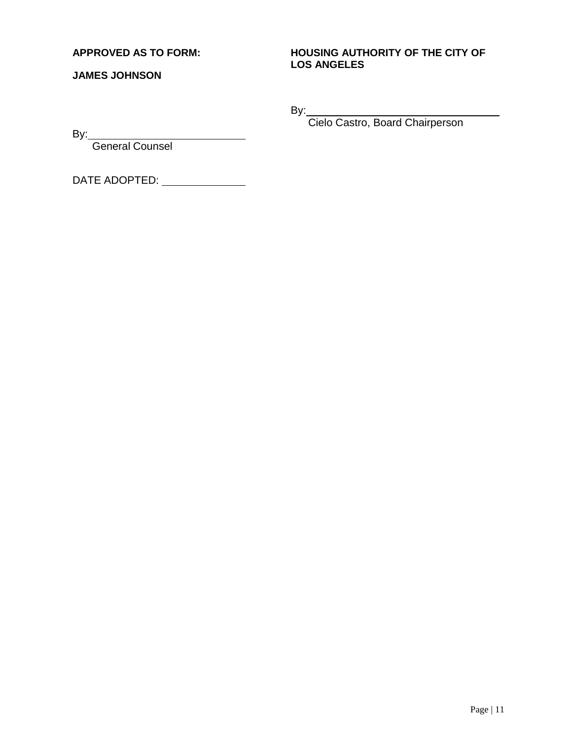#### **APPROVED AS TO FORM:**

**JAMES JOHNSON**

#### **HOUSING AUTHORITY OF THE CITY OF LOS ANGELES**

By:

Cielo Castro, Board Chairperson

By:

General Counsel

DATE ADOPTED: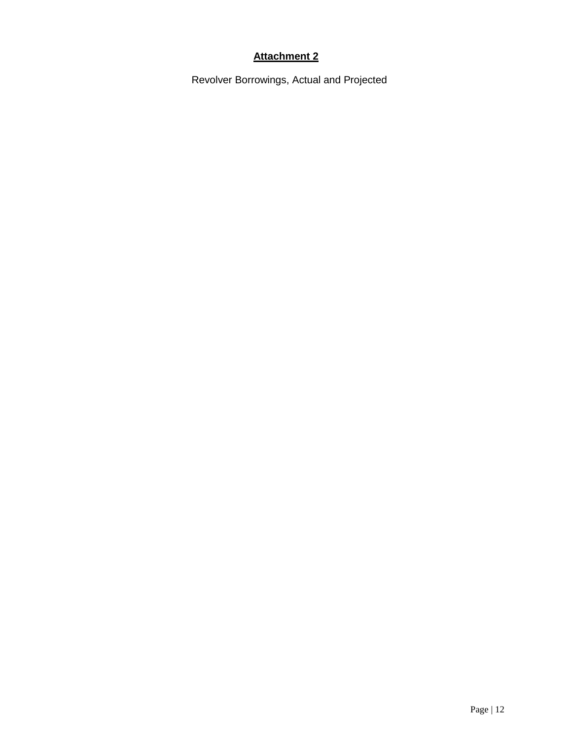#### **Attachment 2**

Revolver Borrowings, Actual and Projected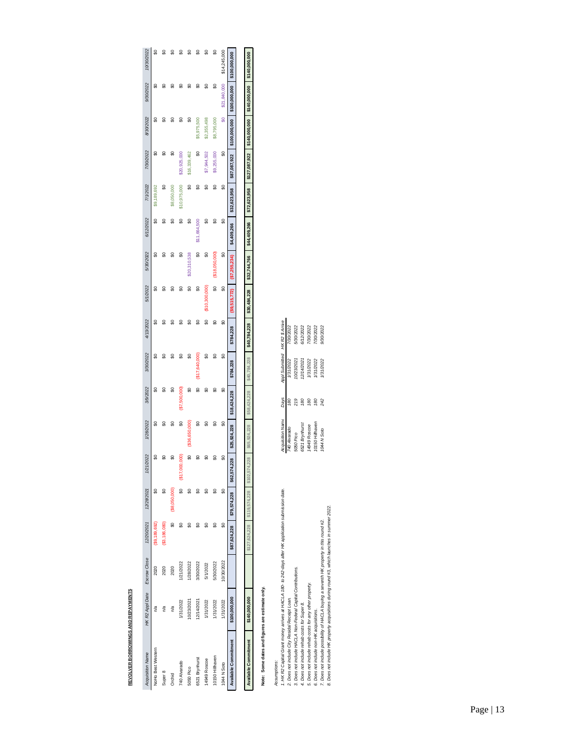| I<br>l      |
|-------------|
|             |
| I<br>ŗ<br>i |
| ŕ<br>ï      |
|             |

| <b>Acquisition Name</b>     | HK R2 Appl Date Escrow Close 12/20/2021 12/28/2021 |            |               |                             | 1/21/2022              | 1/28/2022    | 3/9/2022     | 3/30/2022      | 4/13/2022    | 5/1/2022     | 5/30/2022    | 6/12/2022    | 7/1/2022     | 7/30/2022     | 8/30/2022                                   | 9/30/2022     | 10/30/2022    |
|-----------------------------|----------------------------------------------------|------------|---------------|-----------------------------|------------------------|--------------|--------------|----------------|--------------|--------------|--------------|--------------|--------------|---------------|---------------------------------------------|---------------|---------------|
| NoHo Best Western           | na                                                 | 2020       | \$9,189,692   | S                           | ຊ                      | ୡ            | ິສ           | ဌ              | ಧ            | မ္မ          | ຊ            |              | \$9,189,692  | 5             |                                             | ഄ             |               |
| Super 8                     | n/a                                                | 2020       | (\$3,186,080) | ຊ                           |                        | ∺            | ິ            | 呂              | ដ            |              | ຊ            |              | ಧ            | ຊ             |                                             |               |               |
| Orchid                      | n/a                                                | 2020       |               | \$8,050,000                 |                        | 님            | ຊ            | ຂ              | ≍            |              | ≍            |              | \$8,050,000  | ₩             |                                             |               |               |
| 740 Alvarado                | 1/31/2022                                          | 1/21/2022  | ឨ             |                             | ខ្ល<br><b>\$17,000</b> | ຊ            | (\$7,500,000 | ຂ              | ដ            | 님            | ដ            | ຊ            | \$10,975,000 | \$20,925,000  | ಜ                                           |               |               |
| 5050 Pico                   | 10/23/2021                                         | /28/2022   |               |                             | ຊ                      | \$36,650,000 | ຊ            | ୡ              | ≍            | ຊ            | \$20,310,538 | ຊ            | ິ            | \$16,339,462  | ຊ                                           | ₩             |               |
| 6521 Brynhurst              | 12/14/2021                                         | 3/30/2022  |               |                             | ິສ                     | ຊ            | ຊ            | (\$17,640,000) | ន            | ຊ            | င္တ          | \$11,664,500 | S            | ຊ             | \$5,975,500                                 | ∺             |               |
| 14949 Roscoe                | 1/31/2022                                          | 5/1/2022   |               |                             | ຊ                      | ន            | ຊ            | ິສ             | ຊ            | \$10,300,000 | ຊ            | ຊ            | ຊ            | \$7,944,502   | \$2,355,498                                 | ຊ             |               |
| 10150 Hillhaven             | 1/31/2022                                          | 5/30/2022  | ຊ             | ឨ                           |                        | ຊ            | ິ            | ຊ              | ິ            | င္တ          |              | ຊ            | ຊ            | \$9,255,000   | \$8,795,000                                 | ຊ             | ಜ             |
| 1044 N Soto                 | 1/31/2022                                          | 10/30/2022 | ຊ             | ຊ                           | ន្ល                    | ຊ            | ຊ            | ຊ              | ຊ            | ຊ            | ္တ           | ຊ            | ຊ            | ္တ            | S                                           | \$21,840,000  | \$14,245,000  |
| <b>Available Commitment</b> | \$100,000,000                                      |            | \$87,624,228  | \$79,574,228                | 228<br>\$62,574        | \$25,924,228 | \$18,424,228 | \$784,228      | \$784,228    |              |              | \$4,409,266  | \$32.623.958 | \$87,087,922  | \$100,000,000                               | \$100,000,000 | \$100,000,000 |
|                             |                                                    |            |               |                             |                        |              |              |                |              |              |              |              |              |               |                                             |               |               |
| Available Commitment        | \$140,000,000                                      |            |               | \$127.624.228 \$119.574.228 | .228<br>\$102.574.     | \$65,924,228 | \$58,424,228 | \$40,784,228   | \$40,784,228 | \$30,484,228 | \$32,744,766 | \$44,409.266 | \$72,623,958 | \$127,087,922 | $\vert$ \$140,000,000 $\vert$ \$140,000,000 |               | \$140,000,000 |

# Note: Some dates and figures are estimate only. **Note: Some dates and figures are estimate only.**

| Assumptions:                                                                                         |                 |     |                                                     |           |
|------------------------------------------------------------------------------------------------------|-----------------|-----|-----------------------------------------------------|-----------|
| 1. HK R2 Capital Grant money arrives at HACLA 180- to 242-days after HK application submission date. |                 |     | Acquisition Name Days Appl Submitted HKR2 \$ Arrive |           |
| 2. Does not include City Residal Receipt Loan.                                                       | 740 Alvarado    | S   | 1/31/2022                                           | 7/30/2022 |
| 3. Does not include HACLA Non-Federal Capital Contributions.                                         | 5050 Pico       | 219 | 0/23/2021                                           | 5/30/2022 |
| 4. Does not include rehab costs for Super 8.                                                         | 5521 Brynhurst  | 80  | 2/14/2021                                           | 6/12/2022 |
| 5. Does not include rehab costs for any other property.                                              | 4949 Roscoe     | 80  | /31/2022                                            | 130/2022  |
| 6. Does not include non-HK acquisitions.                                                             | 10150 Hillhaven | 80  | 31/2022                                             | 130/2022  |
| 7. Does not include possibility of HACLA buying a seventh HK property in this round #2.              | 1044 N Soto     | 242 | /31/2022                                            | 9/30/2022 |
| 8. Does not include HK property acquisitions during round #3, which launches in summer 2022.         |                 |     |                                                     |           |

HK R2 \$ Arrive<br>7/30/2022<br>5/30/2022<br>5/30/2022<br>7/30/2022<br>7/30/2022<br>7/30/2022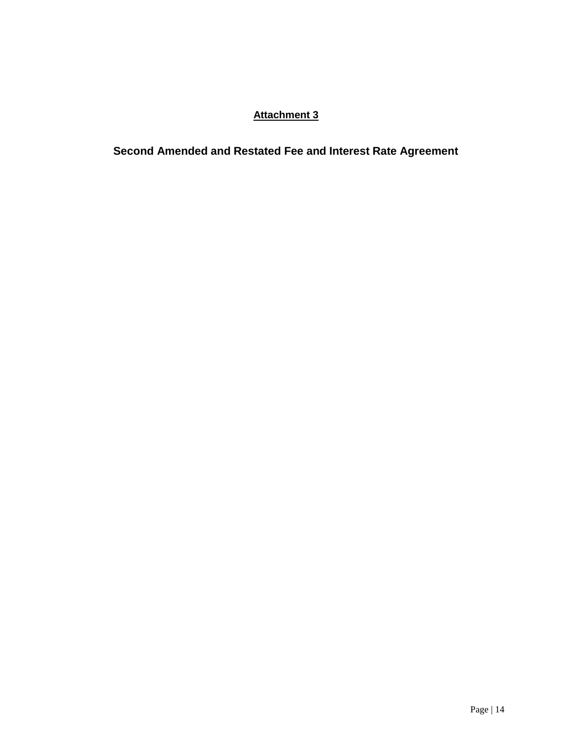### **Attachment 3**

**Second Amended and Restated Fee and Interest Rate Agreement**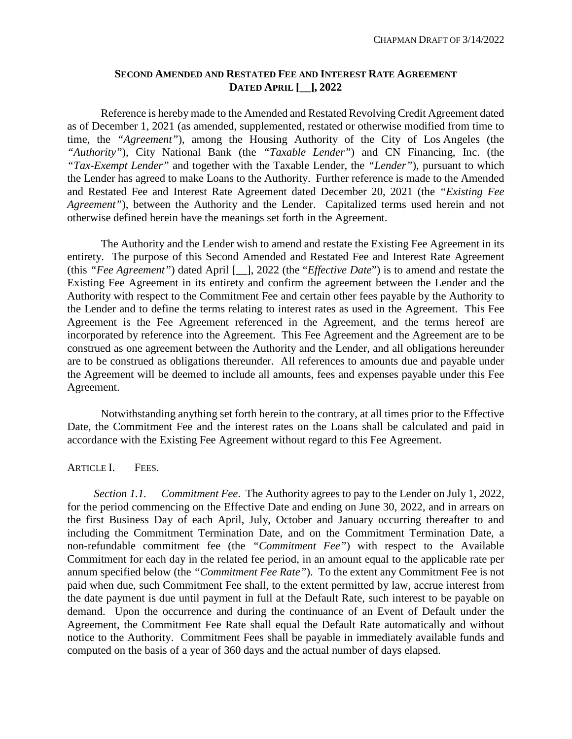#### **SECOND AMENDED AND RESTATED FEE AND INTEREST RATE AGREEMENT DATED APRIL [\_\_], 2022**

Reference is hereby made to the Amended and Restated Revolving Credit Agreement dated as of December 1, 2021 (as amended, supplemented, restated or otherwise modified from time to time, the *"Agreement"*), among the Housing Authority of the City of Los Angeles (the *"Authority"*), City National Bank (the *"Taxable Lender"*) and CN Financing, Inc. (the *"Tax-Exempt Lender"* and together with the Taxable Lender, the *"Lender"*), pursuant to which the Lender has agreed to make Loans to the Authority. Further reference is made to the Amended and Restated Fee and Interest Rate Agreement dated December 20, 2021 (the *"Existing Fee Agreement"*), between the Authority and the Lender. Capitalized terms used herein and not otherwise defined herein have the meanings set forth in the Agreement.

The Authority and the Lender wish to amend and restate the Existing Fee Agreement in its entirety. The purpose of this Second Amended and Restated Fee and Interest Rate Agreement (this *"Fee Agreement"*) dated April [\_\_], 2022 (the "*Effective Date*") is to amend and restate the Existing Fee Agreement in its entirety and confirm the agreement between the Lender and the Authority with respect to the Commitment Fee and certain other fees payable by the Authority to the Lender and to define the terms relating to interest rates as used in the Agreement. This Fee Agreement is the Fee Agreement referenced in the Agreement, and the terms hereof are incorporated by reference into the Agreement. This Fee Agreement and the Agreement are to be construed as one agreement between the Authority and the Lender, and all obligations hereunder are to be construed as obligations thereunder. All references to amounts due and payable under the Agreement will be deemed to include all amounts, fees and expenses payable under this Fee Agreement.

Notwithstanding anything set forth herein to the contrary, at all times prior to the Effective Date, the Commitment Fee and the interest rates on the Loans shall be calculated and paid in accordance with the Existing Fee Agreement without regard to this Fee Agreement.

#### ARTICLE I. FEES.

*Section 1.1. Commitment Fee*. The Authority agrees to pay to the Lender on July 1, 2022, for the period commencing on the Effective Date and ending on June 30, 2022, and in arrears on the first Business Day of each April, July, October and January occurring thereafter to and including the Commitment Termination Date, and on the Commitment Termination Date, a non-refundable commitment fee (the *"Commitment Fee"*) with respect to the Available Commitment for each day in the related fee period, in an amount equal to the applicable rate per annum specified below (the *"Commitment Fee Rate"*). To the extent any Commitment Fee is not paid when due, such Commitment Fee shall, to the extent permitted by law, accrue interest from the date payment is due until payment in full at the Default Rate, such interest to be payable on demand. Upon the occurrence and during the continuance of an Event of Default under the Agreement, the Commitment Fee Rate shall equal the Default Rate automatically and without notice to the Authority. Commitment Fees shall be payable in immediately available funds and computed on the basis of a year of 360 days and the actual number of days elapsed.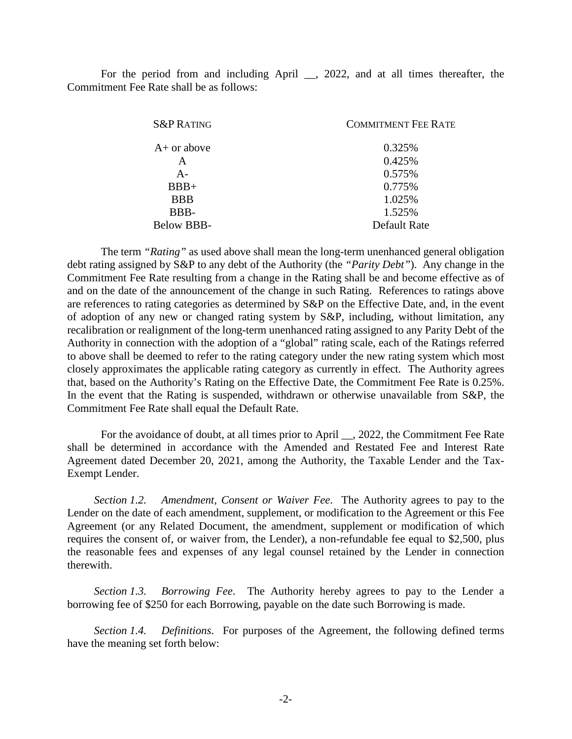For the period from and including April \_\_, 2022, and at all times thereafter, the Commitment Fee Rate shall be as follows:

| <b>S&amp;P RATING</b> | <b>COMMITMENT FEE RATE</b> |
|-----------------------|----------------------------|
| $A+$ or above         | 0.325%                     |
| A                     | 0.425%                     |
| $A -$                 | 0.575%                     |
| $BBB+$                | 0.775%                     |
| <b>BBB</b>            | 1.025%                     |
| BBB-                  | 1.525%                     |
| <b>Below BBB-</b>     | Default Rate               |
|                       |                            |

The term *"Rating"* as used above shall mean the long-term unenhanced general obligation debt rating assigned by S&P to any debt of the Authority (the *"Parity Debt"*). Any change in the Commitment Fee Rate resulting from a change in the Rating shall be and become effective as of and on the date of the announcement of the change in such Rating. References to ratings above are references to rating categories as determined by S&P on the Effective Date, and, in the event of adoption of any new or changed rating system by S&P, including, without limitation, any recalibration or realignment of the long-term unenhanced rating assigned to any Parity Debt of the Authority in connection with the adoption of a "global" rating scale, each of the Ratings referred to above shall be deemed to refer to the rating category under the new rating system which most closely approximates the applicable rating category as currently in effect. The Authority agrees that, based on the Authority's Rating on the Effective Date, the Commitment Fee Rate is 0.25%. In the event that the Rating is suspended, withdrawn or otherwise unavailable from S&P, the Commitment Fee Rate shall equal the Default Rate.

For the avoidance of doubt, at all times prior to April \_\_, 2022, the Commitment Fee Rate shall be determined in accordance with the Amended and Restated Fee and Interest Rate Agreement dated December 20, 2021, among the Authority, the Taxable Lender and the Tax-Exempt Lender.

*Section 1.2. Amendment, Consent or Waiver Fee*. The Authority agrees to pay to the Lender on the date of each amendment, supplement, or modification to the Agreement or this Fee Agreement (or any Related Document, the amendment, supplement or modification of which requires the consent of, or waiver from, the Lender), a non-refundable fee equal to \$2,500, plus the reasonable fees and expenses of any legal counsel retained by the Lender in connection therewith.

*Section 1.3. Borrowing Fee*. The Authority hereby agrees to pay to the Lender a borrowing fee of \$250 for each Borrowing, payable on the date such Borrowing is made.

*Section 1.4. Definitions*. For purposes of the Agreement, the following defined terms have the meaning set forth below: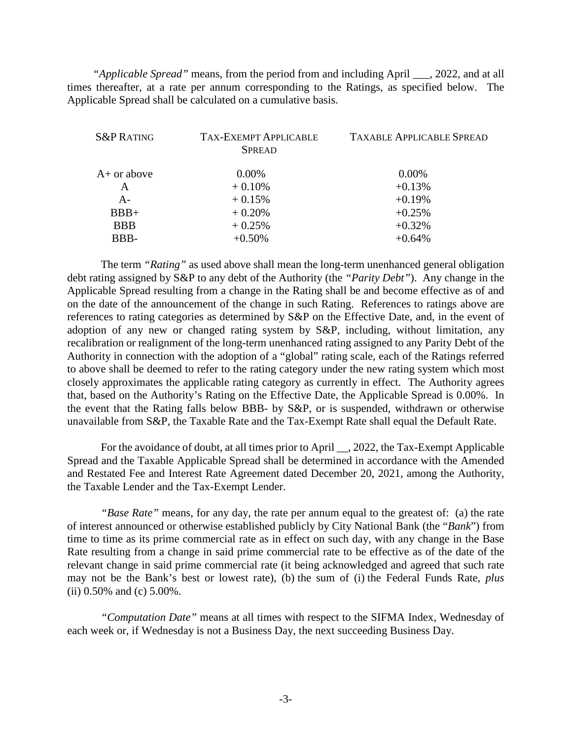*"Applicable Spread"* means, from the period from and including April \_\_\_, 2022, and at all times thereafter, at a rate per annum corresponding to the Ratings, as specified below. The Applicable Spread shall be calculated on a cumulative basis.

| <b>S&amp;P RATING</b> | <b>TAX-EXEMPT APPLICABLE</b><br><b>SPREAD</b> | <b>TAXABLE APPLICABLE SPREAD</b> |
|-----------------------|-----------------------------------------------|----------------------------------|
| $A+$ or above         | $0.00\%$                                      | $0.00\%$                         |
| A                     | $+0.10%$                                      | $+0.13%$                         |
| $A -$                 | $+0.15%$                                      | $+0.19%$                         |
| $BBB+$                | $+0.20%$                                      | $+0.25%$                         |
| <b>BBB</b>            | $+0.25%$                                      | $+0.32%$                         |
| BBB-                  | $+0.50%$                                      | $+0.64%$                         |
|                       |                                               |                                  |

The term *"Rating"* as used above shall mean the long-term unenhanced general obligation debt rating assigned by S&P to any debt of the Authority (the *"Parity Debt"*). Any change in the Applicable Spread resulting from a change in the Rating shall be and become effective as of and on the date of the announcement of the change in such Rating. References to ratings above are references to rating categories as determined by S&P on the Effective Date, and, in the event of adoption of any new or changed rating system by S&P, including, without limitation, any recalibration or realignment of the long-term unenhanced rating assigned to any Parity Debt of the Authority in connection with the adoption of a "global" rating scale, each of the Ratings referred to above shall be deemed to refer to the rating category under the new rating system which most closely approximates the applicable rating category as currently in effect. The Authority agrees that, based on the Authority's Rating on the Effective Date, the Applicable Spread is 0.00%. In the event that the Rating falls below BBB- by S&P, or is suspended, withdrawn or otherwise unavailable from S&P, the Taxable Rate and the Tax-Exempt Rate shall equal the Default Rate.

For the avoidance of doubt, at all times prior to April \_\_, 2022, the Tax-Exempt Applicable Spread and the Taxable Applicable Spread shall be determined in accordance with the Amended and Restated Fee and Interest Rate Agreement dated December 20, 2021, among the Authority, the Taxable Lender and the Tax-Exempt Lender.

*"Base Rate"* means, for any day, the rate per annum equal to the greatest of: (a) the rate of interest announced or otherwise established publicly by City National Bank (the "*Bank*") from time to time as its prime commercial rate as in effect on such day, with any change in the Base Rate resulting from a change in said prime commercial rate to be effective as of the date of the relevant change in said prime commercial rate (it being acknowledged and agreed that such rate may not be the Bank's best or lowest rate), (b) the sum of (i) the Federal Funds Rate, *plus* (ii) 0.50% and (c) 5.00%.

*"Computation Date"* means at all times with respect to the SIFMA Index, Wednesday of each week or, if Wednesday is not a Business Day, the next succeeding Business Day.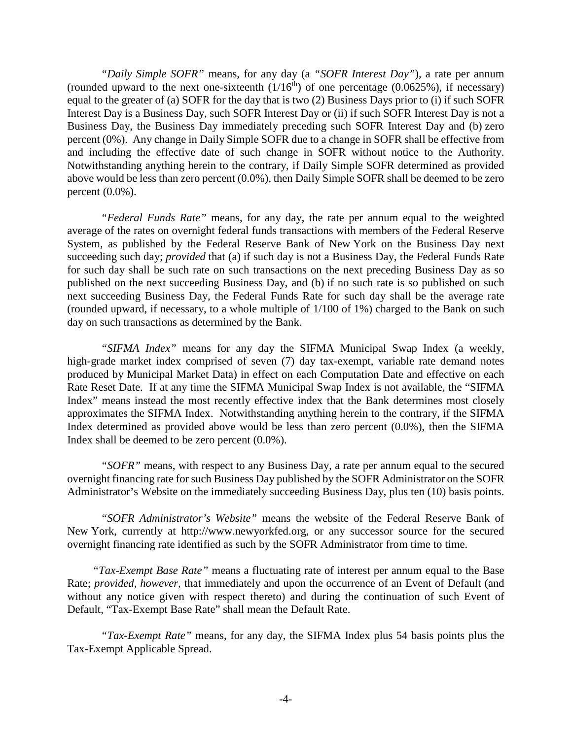*"Daily Simple SOFR"* means, for any day (a *"SOFR Interest Day"*), a rate per annum (rounded upward to the next one-sixteenth  $(1/16<sup>th</sup>)$  of one percentage (0.0625%), if necessary) equal to the greater of (a) SOFR for the day that is two (2) Business Days prior to (i) if such SOFR Interest Day is a Business Day, such SOFR Interest Day or (ii) if such SOFR Interest Day is not a Business Day, the Business Day immediately preceding such SOFR Interest Day and (b) zero percent (0%). Any change in Daily Simple SOFR due to a change in SOFR shall be effective from and including the effective date of such change in SOFR without notice to the Authority. Notwithstanding anything herein to the contrary, if Daily Simple SOFR determined as provided above would be less than zero percent (0.0%), then Daily Simple SOFR shall be deemed to be zero percent (0.0%).

*"Federal Funds Rate"* means, for any day, the rate per annum equal to the weighted average of the rates on overnight federal funds transactions with members of the Federal Reserve System, as published by the Federal Reserve Bank of New York on the Business Day next succeeding such day; *provided* that (a) if such day is not a Business Day, the Federal Funds Rate for such day shall be such rate on such transactions on the next preceding Business Day as so published on the next succeeding Business Day, and (b) if no such rate is so published on such next succeeding Business Day, the Federal Funds Rate for such day shall be the average rate (rounded upward, if necessary, to a whole multiple of 1/100 of 1%) charged to the Bank on such day on such transactions as determined by the Bank.

*"SIFMA Index"* means for any day the SIFMA Municipal Swap Index (a weekly, high-grade market index comprised of seven (7) day tax-exempt, variable rate demand notes produced by Municipal Market Data) in effect on each Computation Date and effective on each Rate Reset Date. If at any time the SIFMA Municipal Swap Index is not available, the "SIFMA Index" means instead the most recently effective index that the Bank determines most closely approximates the SIFMA Index. Notwithstanding anything herein to the contrary, if the SIFMA Index determined as provided above would be less than zero percent (0.0%), then the SIFMA Index shall be deemed to be zero percent (0.0%).

*"SOFR"* means, with respect to any Business Day, a rate per annum equal to the secured overnight financing rate for such Business Day published by the SOFR Administrator on the SOFR Administrator's Website on the immediately succeeding Business Day, plus ten (10) basis points.

*"SOFR Administrator's Website"* means the website of the Federal Reserve Bank of New York, currently at [http://www.newyorkfed.org,](http://www.newyorkfed.org/) or any successor source for the secured overnight financing rate identified as such by the SOFR Administrator from time to time.

*"Tax-Exempt Base Rate"* means a fluctuating rate of interest per annum equal to the Base Rate; *provided, however,* that immediately and upon the occurrence of an Event of Default (and without any notice given with respect thereto) and during the continuation of such Event of Default, "Tax-Exempt Base Rate" shall mean the Default Rate.

*"Tax-Exempt Rate"* means, for any day, the SIFMA Index plus 54 basis points plus the Tax-Exempt Applicable Spread.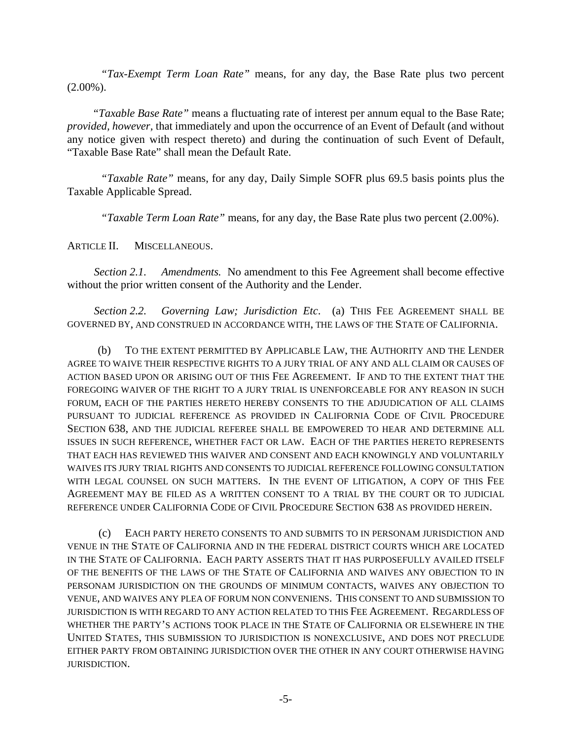*"Tax-Exempt Term Loan Rate"* means, for any day, the Base Rate plus two percent  $(2.00\%)$ .

*"Taxable Base Rate"* means a fluctuating rate of interest per annum equal to the Base Rate; *provided, however,* that immediately and upon the occurrence of an Event of Default (and without any notice given with respect thereto) and during the continuation of such Event of Default, "Taxable Base Rate" shall mean the Default Rate.

*"Taxable Rate"* means, for any day, Daily Simple SOFR plus 69.5 basis points plus the Taxable Applicable Spread.

*"Taxable Term Loan Rate"* means, for any day, the Base Rate plus two percent (2.00%).

#### ARTICLE II. MISCELLANEOUS.

*Section 2.1. Amendments.* No amendment to this Fee Agreement shall become effective without the prior written consent of the Authority and the Lender.

*Section 2.2. Governing Law; Jurisdiction Etc*. (a) THIS FEE AGREEMENT SHALL BE GOVERNED BY, AND CONSTRUED IN ACCORDANCE WITH, THE LAWS OF THE STATE OF CALIFORNIA.

(b) TO THE EXTENT PERMITTED BY APPLICABLE LAW, THE AUTHORITY AND THE LENDER AGREE TO WAIVE THEIR RESPECTIVE RIGHTS TO A JURY TRIAL OF ANY AND ALL CLAIM OR CAUSES OF ACTION BASED UPON OR ARISING OUT OF THIS FEE AGREEMENT. IF AND TO THE EXTENT THAT THE FOREGOING WAIVER OF THE RIGHT TO A JURY TRIAL IS UNENFORCEABLE FOR ANY REASON IN SUCH FORUM, EACH OF THE PARTIES HERETO HEREBY CONSENTS TO THE ADJUDICATION OF ALL CLAIMS PURSUANT TO JUDICIAL REFERENCE AS PROVIDED IN CALIFORNIA CODE OF CIVIL PROCEDURE SECTION 638, AND THE JUDICIAL REFEREE SHALL BE EMPOWERED TO HEAR AND DETERMINE ALL ISSUES IN SUCH REFERENCE, WHETHER FACT OR LAW. EACH OF THE PARTIES HERETO REPRESENTS THAT EACH HAS REVIEWED THIS WAIVER AND CONSENT AND EACH KNOWINGLY AND VOLUNTARILY WAIVES ITS JURY TRIAL RIGHTS AND CONSENTS TO JUDICIAL REFERENCE FOLLOWING CONSULTATION WITH LEGAL COUNSEL ON SUCH MATTERS. IN THE EVENT OF LITIGATION, A COPY OF THIS FEE AGREEMENT MAY BE FILED AS A WRITTEN CONSENT TO A TRIAL BY THE COURT OR TO JUDICIAL REFERENCE UNDER CALIFORNIA CODE OF CIVIL PROCEDURE SECTION 638 AS PROVIDED HEREIN.

(c) EACH PARTY HERETO CONSENTS TO AND SUBMITS TO IN PERSONAM JURISDICTION AND VENUE IN THE STATE OF CALIFORNIA AND IN THE FEDERAL DISTRICT COURTS WHICH ARE LOCATED IN THE STATE OF CALIFORNIA. EACH PARTY ASSERTS THAT IT HAS PURPOSEFULLY AVAILED ITSELF OF THE BENEFITS OF THE LAWS OF THE STATE OF CALIFORNIA AND WAIVES ANY OBJECTION TO IN PERSONAM JURISDICTION ON THE GROUNDS OF MINIMUM CONTACTS, WAIVES ANY OBJECTION TO VENUE, AND WAIVES ANY PLEA OF FORUM NON CONVENIENS. THIS CONSENT TO AND SUBMISSION TO JURISDICTION IS WITH REGARD TO ANY ACTION RELATED TO THIS FEE AGREEMENT. REGARDLESS OF WHETHER THE PARTY'S ACTIONS TOOK PLACE IN THE STATE OF CALIFORNIA OR ELSEWHERE IN THE UNITED STATES, THIS SUBMISSION TO JURISDICTION IS NONEXCLUSIVE, AND DOES NOT PRECLUDE EITHER PARTY FROM OBTAINING JURISDICTION OVER THE OTHER IN ANY COURT OTHERWISE HAVING JURISDICTION.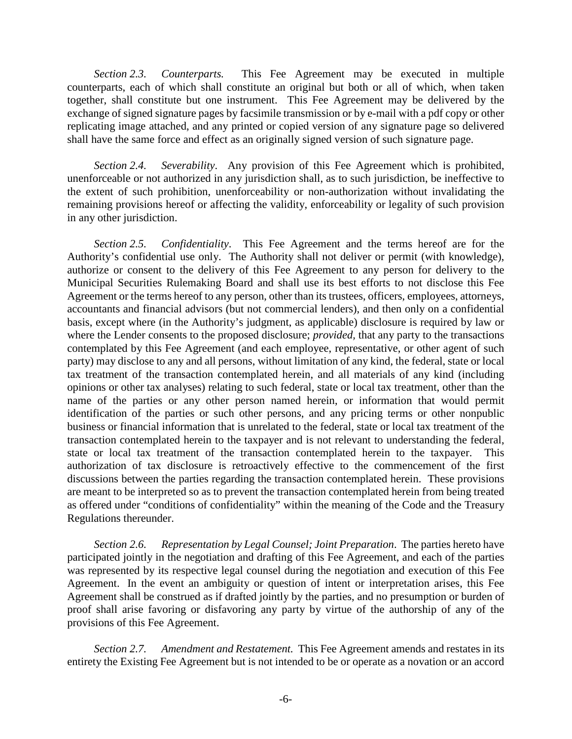*Section 2.3. Counterparts.* This Fee Agreement may be executed in multiple counterparts, each of which shall constitute an original but both or all of which, when taken together, shall constitute but one instrument. This Fee Agreement may be delivered by the exchange of signed signature pages by facsimile transmission or by e-mail with a pdf copy or other replicating image attached, and any printed or copied version of any signature page so delivered shall have the same force and effect as an originally signed version of such signature page.

*Section 2.4. Severability*. Any provision of this Fee Agreement which is prohibited, unenforceable or not authorized in any jurisdiction shall, as to such jurisdiction, be ineffective to the extent of such prohibition, unenforceability or non-authorization without invalidating the remaining provisions hereof or affecting the validity, enforceability or legality of such provision in any other jurisdiction.

*Section 2.5. Confidentiality*. This Fee Agreement and the terms hereof are for the Authority's confidential use only. The Authority shall not deliver or permit (with knowledge), authorize or consent to the delivery of this Fee Agreement to any person for delivery to the Municipal Securities Rulemaking Board and shall use its best efforts to not disclose this Fee Agreement or the terms hereof to any person, other than its trustees, officers, employees, attorneys, accountants and financial advisors (but not commercial lenders), and then only on a confidential basis, except where (in the Authority's judgment, as applicable) disclosure is required by law or where the Lender consents to the proposed disclosure; *provided,* that any party to the transactions contemplated by this Fee Agreement (and each employee, representative, or other agent of such party) may disclose to any and all persons, without limitation of any kind, the federal, state or local tax treatment of the transaction contemplated herein, and all materials of any kind (including opinions or other tax analyses) relating to such federal, state or local tax treatment, other than the name of the parties or any other person named herein, or information that would permit identification of the parties or such other persons, and any pricing terms or other nonpublic business or financial information that is unrelated to the federal, state or local tax treatment of the transaction contemplated herein to the taxpayer and is not relevant to understanding the federal, state or local tax treatment of the transaction contemplated herein to the taxpayer. This authorization of tax disclosure is retroactively effective to the commencement of the first discussions between the parties regarding the transaction contemplated herein. These provisions are meant to be interpreted so as to prevent the transaction contemplated herein from being treated as offered under "conditions of confidentiality" within the meaning of the Code and the Treasury Regulations thereunder.

*Section 2.6. Representation by Legal Counsel; Joint Preparation*. The parties hereto have participated jointly in the negotiation and drafting of this Fee Agreement, and each of the parties was represented by its respective legal counsel during the negotiation and execution of this Fee Agreement. In the event an ambiguity or question of intent or interpretation arises, this Fee Agreement shall be construed as if drafted jointly by the parties, and no presumption or burden of proof shall arise favoring or disfavoring any party by virtue of the authorship of any of the provisions of this Fee Agreement.

*Section 2.7. Amendment and Restatement.* This Fee Agreement amends and restates in its entirety the Existing Fee Agreement but is not intended to be or operate as a novation or an accord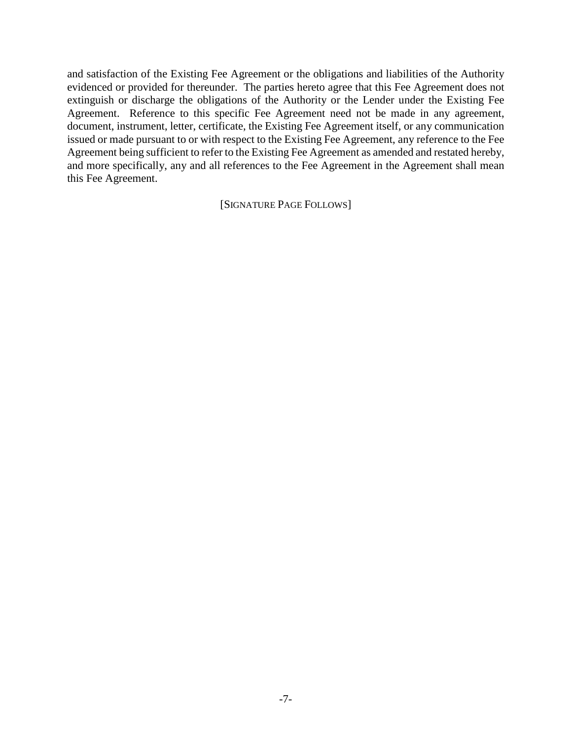and satisfaction of the Existing Fee Agreement or the obligations and liabilities of the Authority evidenced or provided for thereunder. The parties hereto agree that this Fee Agreement does not extinguish or discharge the obligations of the Authority or the Lender under the Existing Fee Agreement. Reference to this specific Fee Agreement need not be made in any agreement, document, instrument, letter, certificate, the Existing Fee Agreement itself, or any communication issued or made pursuant to or with respect to the Existing Fee Agreement, any reference to the Fee Agreement being sufficient to refer to the Existing Fee Agreement as amended and restated hereby, and more specifically, any and all references to the Fee Agreement in the Agreement shall mean this Fee Agreement.

[SIGNATURE PAGE FOLLOWS]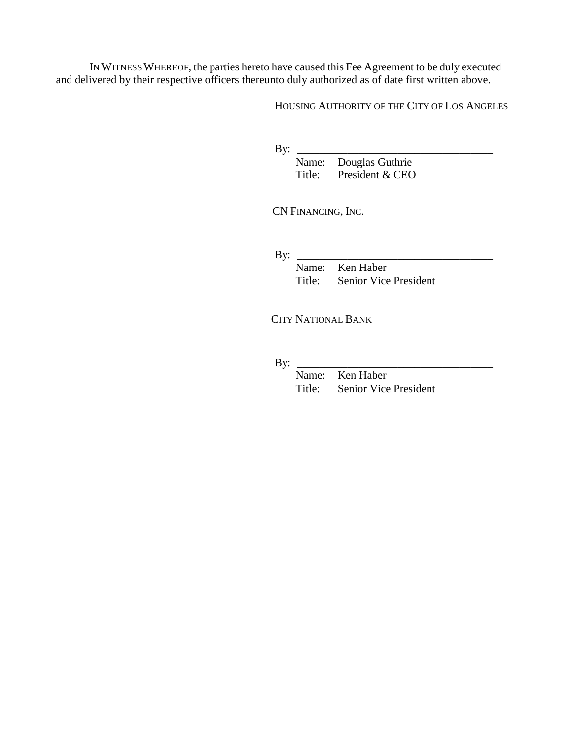IN WITNESS WHEREOF, the parties hereto have caused this Fee Agreement to be duly executed and delivered by their respective officers thereunto duly authorized as of date first written above.

HOUSING AUTHORITY OF THE CITY OF LOS ANGELES

By:  $\frac{\text{By:}}{\text{By:}}$ 

Name: Douglas Guthrie Title: President & CEO

CN FINANCING, INC.

By:  $\_\_$ 

Name: Ken Haber<br>Title: Senior Vice Senior Vice President

CITY NATIONAL BANK

By: \_\_\_\_\_\_\_\_\_\_\_\_\_\_\_\_\_\_\_\_\_\_\_\_\_\_\_\_\_\_\_\_\_\_\_

Name: Ken Haber Title: Senior Vice President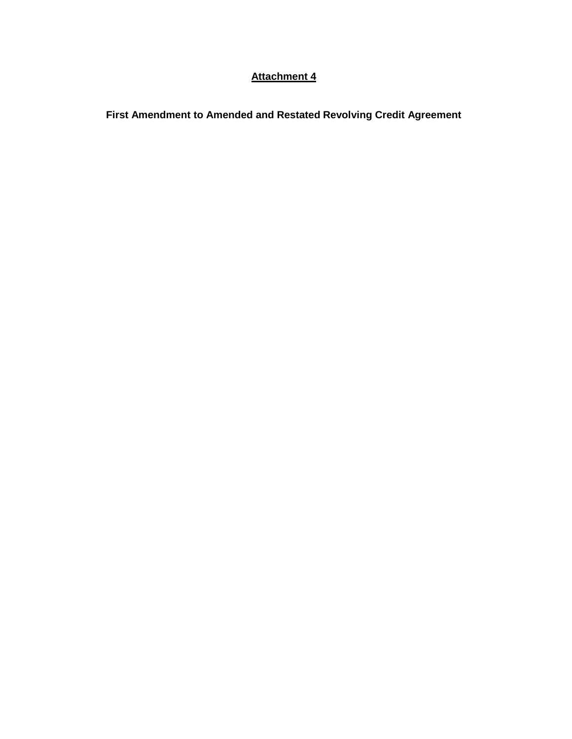#### **Attachment 4**

**First Amendment to Amended and Restated Revolving Credit Agreement**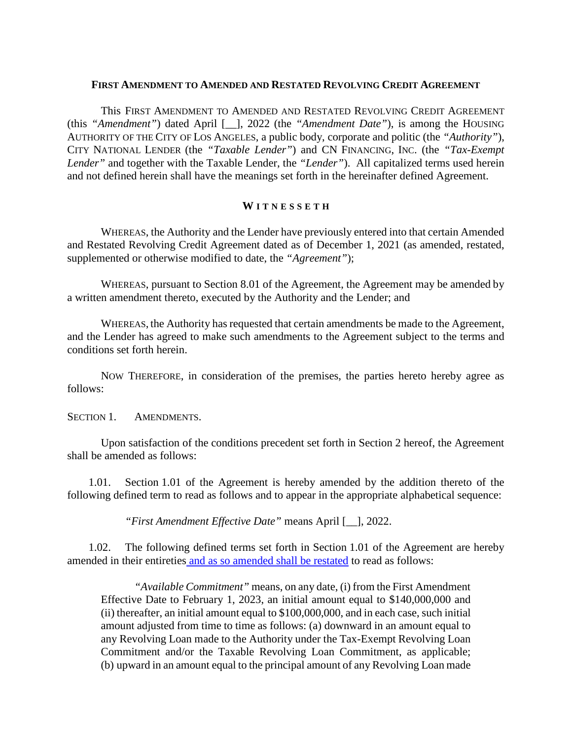#### **FIRST AMENDMENT TO AMENDED AND RESTATED REVOLVING CREDIT AGREEMENT**

This FIRST AMENDMENT TO AMENDED AND RESTATED REVOLVING CREDIT AGREEMENT (this *"Amendment"*) dated April [\_\_], 2022 (the *"Amendment Date"*), is among the HOUSING AUTHORITY OF THE CITY OF LOS ANGELES, a public body, corporate and politic (the *"Authority"*), CITY NATIONAL LENDER (the *"Taxable Lender"*) and CN FINANCING, INC. (the *"Tax-Exempt Lender"* and together with the Taxable Lender, the *"Lender"*). All capitalized terms used herein and not defined herein shall have the meanings set forth in the hereinafter defined Agreement.

#### **W ITNESSET H**

WHEREAS, the Authority and the Lender have previously entered into that certain Amended and Restated Revolving Credit Agreement dated as of December 1, 2021 (as amended, restated, supplemented or otherwise modified to date, the *"Agreement"*);

WHEREAS, pursuant to Section 8.01 of the Agreement, the Agreement may be amended by a written amendment thereto, executed by the Authority and the Lender; and

WHEREAS, the Authority has requested that certain amendments be made to the Agreement, and the Lender has agreed to make such amendments to the Agreement subject to the terms and conditions set forth herein.

NOW THEREFORE, in consideration of the premises, the parties hereto hereby agree as follows:

SECTION 1. AMENDMENTS.

Upon satisfaction of the conditions precedent set forth in Section 2 hereof, the Agreement shall be amended as follows:

1.01. Section 1.01 of the Agreement is hereby amended by the addition thereto of the following defined term to read as follows and to appear in the appropriate alphabetical sequence:

*"First Amendment Effective Date"* means April [\_\_], 2022.

1.02. The following defined terms set forth in Section 1.01 of the Agreement are hereby amended in their entireties and as so amended shall be restated to read as follows:

*"Available Commitment"* means, on any date, (i) from the First Amendment Effective Date to February 1, 2023, an initial amount equal to \$140,000,000 and (ii) thereafter, an initial amount equal to \$100,000,000, and in each case, such initial amount adjusted from time to time as follows: (a) downward in an amount equal to any Revolving Loan made to the Authority under the Tax-Exempt Revolving Loan Commitment and/or the Taxable Revolving Loan Commitment, as applicable; (b) upward in an amount equal to the principal amount of any Revolving Loan made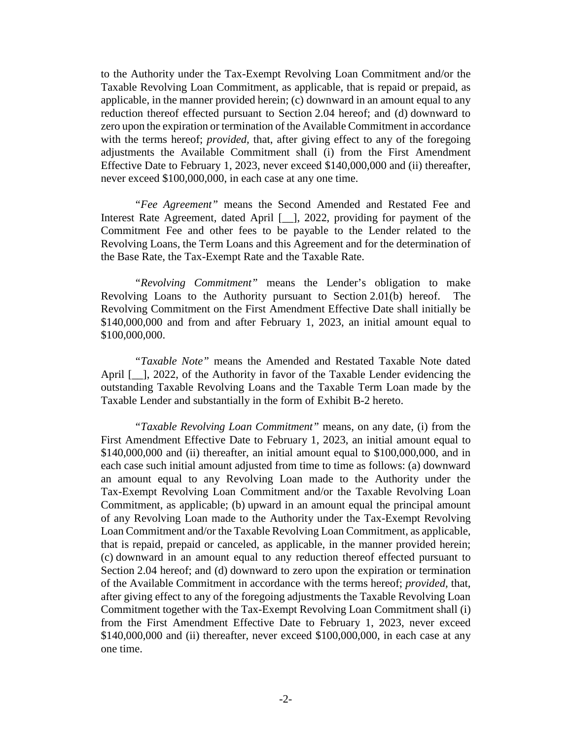to the Authority under the Tax-Exempt Revolving Loan Commitment and/or the Taxable Revolving Loan Commitment, as applicable, that is repaid or prepaid, as applicable, in the manner provided herein; (c) downward in an amount equal to any reduction thereof effected pursuant to Section 2.04 hereof; and (d) downward to zero upon the expiration or termination of the Available Commitment in accordance with the terms hereof; *provided,* that, after giving effect to any of the foregoing adjustments the Available Commitment shall (i) from the First Amendment Effective Date to February 1, 2023, never exceed \$140,000,000 and (ii) thereafter, never exceed \$100,000,000, in each case at any one time.

*"Fee Agreement"* means the Second Amended and Restated Fee and Interest Rate Agreement, dated April [\_\_], 2022, providing for payment of the Commitment Fee and other fees to be payable to the Lender related to the Revolving Loans, the Term Loans and this Agreement and for the determination of the Base Rate, the Tax-Exempt Rate and the Taxable Rate.

*"Revolving Commitment"* means the Lender's obligation to make Revolving Loans to the Authority pursuant to Section 2.01(b) hereof. The Revolving Commitment on the First Amendment Effective Date shall initially be \$140,000,000 and from and after February 1, 2023, an initial amount equal to \$100,000,000.

*"Taxable Note"* means the Amended and Restated Taxable Note dated April [\_\_], 2022, of the Authority in favor of the Taxable Lender evidencing the outstanding Taxable Revolving Loans and the Taxable Term Loan made by the Taxable Lender and substantially in the form of Exhibit B-2 hereto.

*"Taxable Revolving Loan Commitment"* means, on any date, (i) from the First Amendment Effective Date to February 1, 2023, an initial amount equal to \$140,000,000 and (ii) thereafter, an initial amount equal to \$100,000,000, and in each case such initial amount adjusted from time to time as follows: (a) downward an amount equal to any Revolving Loan made to the Authority under the Tax-Exempt Revolving Loan Commitment and/or the Taxable Revolving Loan Commitment, as applicable; (b) upward in an amount equal the principal amount of any Revolving Loan made to the Authority under the Tax-Exempt Revolving Loan Commitment and/or the Taxable Revolving Loan Commitment, as applicable, that is repaid, prepaid or canceled, as applicable, in the manner provided herein; (c) downward in an amount equal to any reduction thereof effected pursuant to Section 2.04 hereof; and (d) downward to zero upon the expiration or termination of the Available Commitment in accordance with the terms hereof; *provided,* that, after giving effect to any of the foregoing adjustments the Taxable Revolving Loan Commitment together with the Tax-Exempt Revolving Loan Commitment shall (i) from the First Amendment Effective Date to February 1, 2023, never exceed \$140,000,000 and (ii) thereafter, never exceed \$100,000,000, in each case at any one time.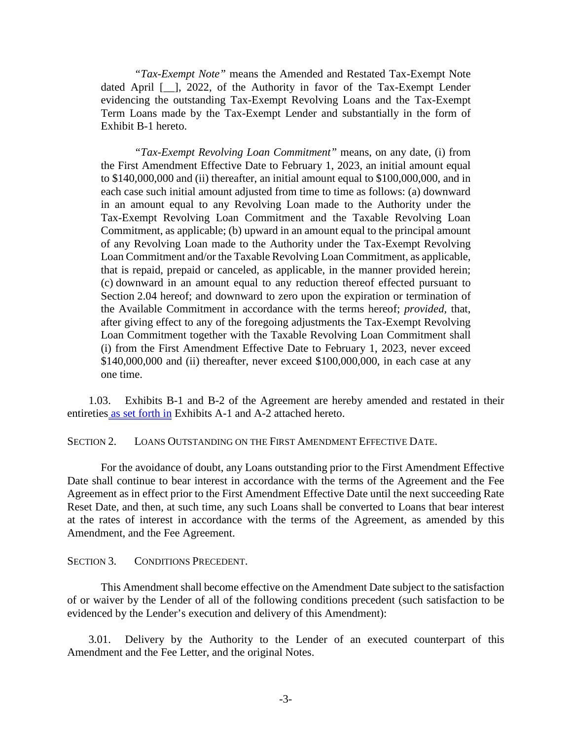*"Tax-Exempt Note"* means the Amended and Restated Tax-Exempt Note dated April [\_\_], 2022, of the Authority in favor of the Tax-Exempt Lender evidencing the outstanding Tax-Exempt Revolving Loans and the Tax-Exempt Term Loans made by the Tax-Exempt Lender and substantially in the form of Exhibit B-1 hereto.

*"Tax-Exempt Revolving Loan Commitment"* means, on any date, (i) from the First Amendment Effective Date to February 1, 2023, an initial amount equal to \$140,000,000 and (ii) thereafter, an initial amount equal to \$100,000,000, and in each case such initial amount adjusted from time to time as follows: (a) downward in an amount equal to any Revolving Loan made to the Authority under the Tax-Exempt Revolving Loan Commitment and the Taxable Revolving Loan Commitment, as applicable; (b) upward in an amount equal to the principal amount of any Revolving Loan made to the Authority under the Tax-Exempt Revolving Loan Commitment and/or the Taxable Revolving Loan Commitment, as applicable, that is repaid, prepaid or canceled, as applicable, in the manner provided herein; (c) downward in an amount equal to any reduction thereof effected pursuant to Section 2.04 hereof; and downward to zero upon the expiration or termination of the Available Commitment in accordance with the terms hereof; *provided,* that, after giving effect to any of the foregoing adjustments the Tax-Exempt Revolving Loan Commitment together with the Taxable Revolving Loan Commitment shall (i) from the First Amendment Effective Date to February 1, 2023, never exceed \$140,000,000 and (ii) thereafter, never exceed \$100,000,000, in each case at any one time.

1.03. Exhibits B-1 and B-2 of the Agreement are hereby amended and restated in their entireties as set forth in Exhibits A-1 and A-2 attached hereto.

SECTION 2. LOANS OUTSTANDING ON THE FIRST AMENDMENT EFFECTIVE DATE.

For the avoidance of doubt, any Loans outstanding prior to the First Amendment Effective Date shall continue to bear interest in accordance with the terms of the Agreement and the Fee Agreement as in effect prior to the First Amendment Effective Date until the next succeeding Rate Reset Date, and then, at such time, any such Loans shall be converted to Loans that bear interest at the rates of interest in accordance with the terms of the Agreement, as amended by this Amendment, and the Fee Agreement.

#### SECTION 3. CONDITIONS PRECEDENT.

This Amendment shall become effective on the Amendment Date subject to the satisfaction of or waiver by the Lender of all of the following conditions precedent (such satisfaction to be evidenced by the Lender's execution and delivery of this Amendment):

3.01. Delivery by the Authority to the Lender of an executed counterpart of this Amendment and the Fee Letter, and the original Notes.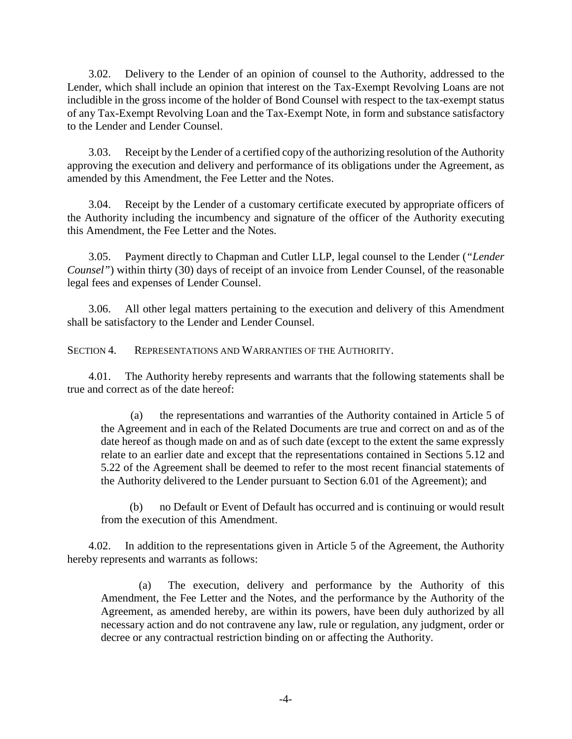3.02. Delivery to the Lender of an opinion of counsel to the Authority, addressed to the Lender, which shall include an opinion that interest on the Tax-Exempt Revolving Loans are not includible in the gross income of the holder of Bond Counsel with respect to the tax-exempt status of any Tax-Exempt Revolving Loan and the Tax-Exempt Note, in form and substance satisfactory to the Lender and Lender Counsel.

3.03. Receipt by the Lender of a certified copy of the authorizing resolution of the Authority approving the execution and delivery and performance of its obligations under the Agreement, as amended by this Amendment, the Fee Letter and the Notes.

3.04. Receipt by the Lender of a customary certificate executed by appropriate officers of the Authority including the incumbency and signature of the officer of the Authority executing this Amendment, the Fee Letter and the Notes.

3.05. Payment directly to Chapman and Cutler LLP, legal counsel to the Lender (*"Lender Counsel"*) within thirty (30) days of receipt of an invoice from Lender Counsel, of the reasonable legal fees and expenses of Lender Counsel.

3.06. All other legal matters pertaining to the execution and delivery of this Amendment shall be satisfactory to the Lender and Lender Counsel.

SECTION 4. REPRESENTATIONS AND WARRANTIES OF THE AUTHORITY.

4.01. The Authority hereby represents and warrants that the following statements shall be true and correct as of the date hereof:

(a) the representations and warranties of the Authority contained in Article 5 of the Agreement and in each of the Related Documents are true and correct on and as of the date hereof as though made on and as of such date (except to the extent the same expressly relate to an earlier date and except that the representations contained in Sections 5.12 and 5.22 of the Agreement shall be deemed to refer to the most recent financial statements of the Authority delivered to the Lender pursuant to Section 6.01 of the Agreement); and

(b) no Default or Event of Default has occurred and is continuing or would result from the execution of this Amendment.

4.02. In addition to the representations given in Article 5 of the Agreement, the Authority hereby represents and warrants as follows:

(a) The execution, delivery and performance by the Authority of this Amendment, the Fee Letter and the Notes, and the performance by the Authority of the Agreement, as amended hereby, are within its powers, have been duly authorized by all necessary action and do not contravene any law, rule or regulation, any judgment, order or decree or any contractual restriction binding on or affecting the Authority.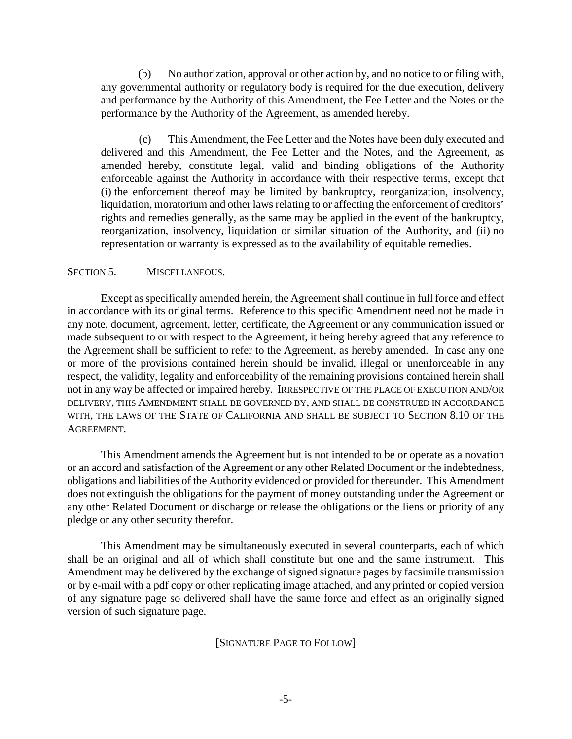(b) No authorization, approval or other action by, and no notice to or filing with, any governmental authority or regulatory body is required for the due execution, delivery and performance by the Authority of this Amendment, the Fee Letter and the Notes or the performance by the Authority of the Agreement, as amended hereby.

(c) This Amendment, the Fee Letter and the Notes have been duly executed and delivered and this Amendment, the Fee Letter and the Notes, and the Agreement, as amended hereby, constitute legal, valid and binding obligations of the Authority enforceable against the Authority in accordance with their respective terms, except that (i) the enforcement thereof may be limited by bankruptcy, reorganization, insolvency, liquidation, moratorium and other laws relating to or affecting the enforcement of creditors' rights and remedies generally, as the same may be applied in the event of the bankruptcy, reorganization, insolvency, liquidation or similar situation of the Authority, and (ii) no representation or warranty is expressed as to the availability of equitable remedies.

#### SECTION 5. MISCELLANEOUS.

Except as specifically amended herein, the Agreement shall continue in full force and effect in accordance with its original terms. Reference to this specific Amendment need not be made in any note, document, agreement, letter, certificate, the Agreement or any communication issued or made subsequent to or with respect to the Agreement, it being hereby agreed that any reference to the Agreement shall be sufficient to refer to the Agreement, as hereby amended. In case any one or more of the provisions contained herein should be invalid, illegal or unenforceable in any respect, the validity, legality and enforceability of the remaining provisions contained herein shall not in any way be affected or impaired hereby. IRRESPECTIVE OF THE PLACE OF EXECUTION AND/OR DELIVERY, THIS AMENDMENT SHALL BE GOVERNED BY, AND SHALL BE CONSTRUED IN ACCORDANCE WITH, THE LAWS OF THE STATE OF CALIFORNIA AND SHALL BE SUBJECT TO SECTION 8.10 OF THE AGREEMENT.

This Amendment amends the Agreement but is not intended to be or operate as a novation or an accord and satisfaction of the Agreement or any other Related Document or the indebtedness, obligations and liabilities of the Authority evidenced or provided for thereunder. This Amendment does not extinguish the obligations for the payment of money outstanding under the Agreement or any other Related Document or discharge or release the obligations or the liens or priority of any pledge or any other security therefor.

This Amendment may be simultaneously executed in several counterparts, each of which shall be an original and all of which shall constitute but one and the same instrument. This Amendment may be delivered by the exchange of signed signature pages by facsimile transmission or by e-mail with a pdf copy or other replicating image attached, and any printed or copied version of any signature page so delivered shall have the same force and effect as an originally signed version of such signature page.

#### [SIGNATURE PAGE TO FOLLOW]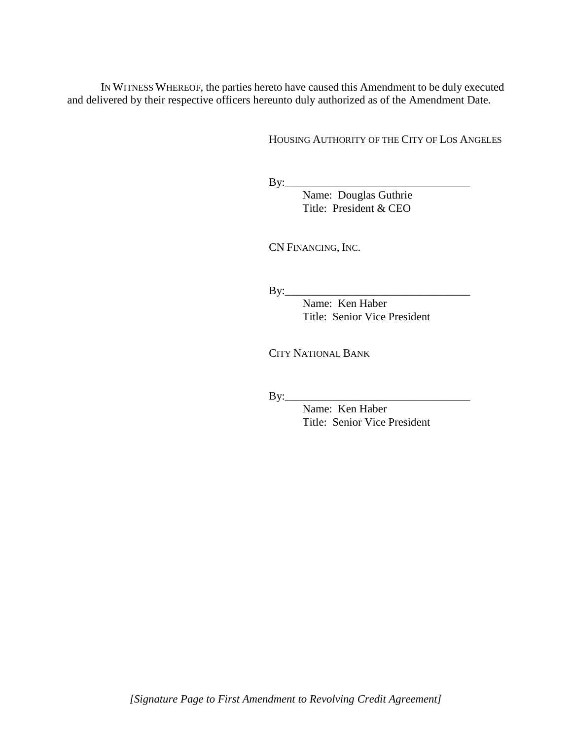IN WITNESS WHEREOF, the parties hereto have caused this Amendment to be duly executed and delivered by their respective officers hereunto duly authorized as of the Amendment Date.

HOUSING AUTHORITY OF THE CITY OF LOS ANGELES

By:\_\_\_\_\_\_\_\_\_\_\_\_\_\_\_\_\_\_\_\_\_\_\_\_\_\_\_\_\_\_\_\_\_

 Name: Douglas Guthrie Title: President & CEO

CN FINANCING, INC.

By:\_\_\_\_\_\_\_\_\_\_\_\_\_\_\_\_\_\_\_\_\_\_\_\_\_\_\_\_\_\_\_\_\_

Name: Ken Haber Title: Senior Vice President

CITY NATIONAL BANK

By:\_\_\_\_\_\_\_\_\_\_\_\_\_\_\_\_\_\_\_\_\_\_\_\_\_\_\_\_\_\_\_\_\_

Name: Ken Haber Title: Senior Vice President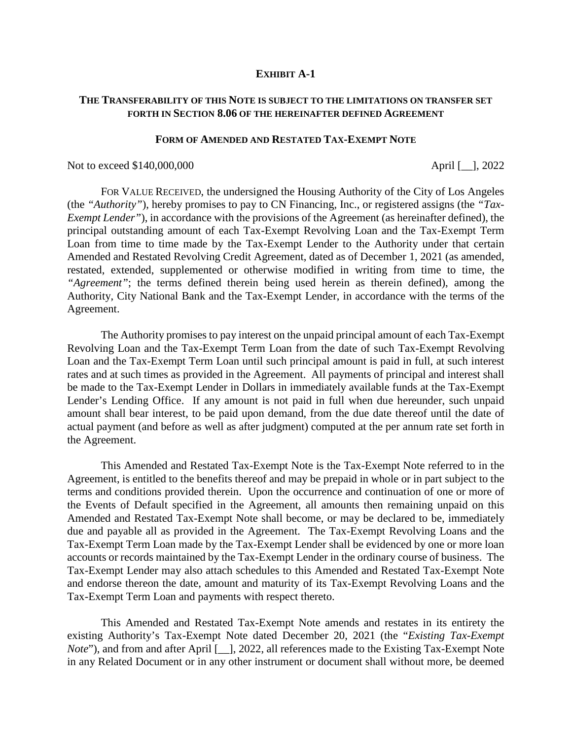#### **EXHIBIT A-1**

#### **THE TRANSFERABILITY OF THIS NOTE IS SUBJECT TO THE LIMITATIONS ON TRANSFER SET FORTH IN SECTION 8.06 OF THE HEREINAFTER DEFINED AGREEMENT**

#### **FORM OF AMENDED AND RESTATED TAX-EXEMPT NOTE**

Not to exceed \$140,000,000 April [\_], 2022

FOR VALUE RECEIVED, the undersigned the Housing Authority of the City of Los Angeles (the *"Authority"*), hereby promises to pay to CN Financing, Inc., or registered assigns (the *"Tax-Exempt Lender"*), in accordance with the provisions of the Agreement (as hereinafter defined), the principal outstanding amount of each Tax-Exempt Revolving Loan and the Tax-Exempt Term Loan from time to time made by the Tax-Exempt Lender to the Authority under that certain Amended and Restated Revolving Credit Agreement, dated as of December 1, 2021 (as amended, restated, extended, supplemented or otherwise modified in writing from time to time, the *"Agreement"*; the terms defined therein being used herein as therein defined), among the Authority, City National Bank and the Tax-Exempt Lender, in accordance with the terms of the Agreement.

The Authority promises to pay interest on the unpaid principal amount of each Tax-Exempt Revolving Loan and the Tax-Exempt Term Loan from the date of such Tax-Exempt Revolving Loan and the Tax-Exempt Term Loan until such principal amount is paid in full, at such interest rates and at such times as provided in the Agreement. All payments of principal and interest shall be made to the Tax-Exempt Lender in Dollars in immediately available funds at the Tax-Exempt Lender's Lending Office. If any amount is not paid in full when due hereunder, such unpaid amount shall bear interest, to be paid upon demand, from the due date thereof until the date of actual payment (and before as well as after judgment) computed at the per annum rate set forth in the Agreement.

This Amended and Restated Tax-Exempt Note is the Tax-Exempt Note referred to in the Agreement, is entitled to the benefits thereof and may be prepaid in whole or in part subject to the terms and conditions provided therein. Upon the occurrence and continuation of one or more of the Events of Default specified in the Agreement, all amounts then remaining unpaid on this Amended and Restated Tax-Exempt Note shall become, or may be declared to be, immediately due and payable all as provided in the Agreement. The Tax-Exempt Revolving Loans and the Tax-Exempt Term Loan made by the Tax-Exempt Lender shall be evidenced by one or more loan accounts or records maintained by the Tax-Exempt Lender in the ordinary course of business. The Tax-Exempt Lender may also attach schedules to this Amended and Restated Tax-Exempt Note and endorse thereon the date, amount and maturity of its Tax-Exempt Revolving Loans and the Tax-Exempt Term Loan and payments with respect thereto.

This Amended and Restated Tax-Exempt Note amends and restates in its entirety the existing Authority's Tax-Exempt Note dated December 20, 2021 (the "*Existing Tax-Exempt Note*"), and from and after April [\_], 2022, all references made to the Existing Tax-Exempt Note in any Related Document or in any other instrument or document shall without more, be deemed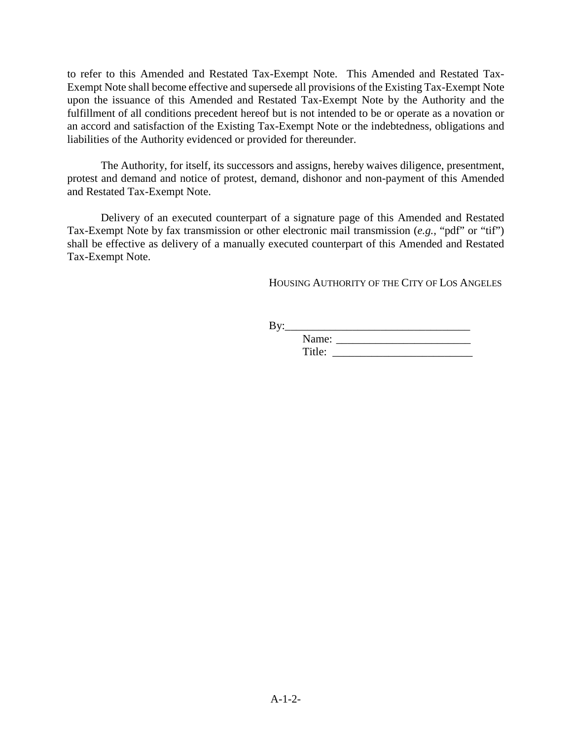to refer to this Amended and Restated Tax-Exempt Note. This Amended and Restated Tax-Exempt Note shall become effective and supersede all provisions of the Existing Tax-Exempt Note upon the issuance of this Amended and Restated Tax-Exempt Note by the Authority and the fulfillment of all conditions precedent hereof but is not intended to be or operate as a novation or an accord and satisfaction of the Existing Tax-Exempt Note or the indebtedness, obligations and liabilities of the Authority evidenced or provided for thereunder.

The Authority, for itself, its successors and assigns, hereby waives diligence, presentment, protest and demand and notice of protest, demand, dishonor and non-payment of this Amended and Restated Tax-Exempt Note.

Delivery of an executed counterpart of a signature page of this Amended and Restated Tax-Exempt Note by fax transmission or other electronic mail transmission (*e.g.,* "pdf" or "tif") shall be effective as delivery of a manually executed counterpart of this Amended and Restated Tax-Exempt Note.

HOUSING AUTHORITY OF THE CITY OF LOS ANGELES

By:\_\_\_\_\_\_\_\_\_\_\_\_\_\_\_\_\_\_\_\_\_\_\_\_\_\_\_\_\_\_\_\_\_

| Name <sup>.</sup> |  |
|-------------------|--|
| Title:            |  |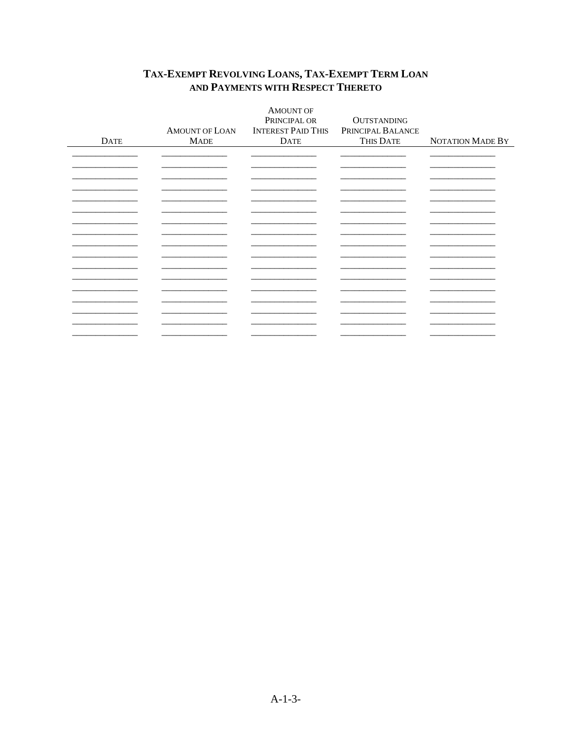|             |                | <b>AMOUNT OF</b>          |                    |                  |
|-------------|----------------|---------------------------|--------------------|------------------|
|             |                | PRINCIPAL OR              | <b>OUTSTANDING</b> |                  |
|             | AMOUNT OF LOAN | <b>INTEREST PAID THIS</b> | PRINCIPAL BALANCE  |                  |
| <b>DATE</b> | <b>MADE</b>    | <b>DATE</b>               | THIS DATE          | NOTATION MADE BY |
|             |                |                           |                    |                  |
|             |                |                           |                    |                  |
|             |                |                           |                    |                  |
|             |                |                           |                    |                  |
|             |                |                           |                    |                  |
|             |                |                           |                    |                  |
|             |                |                           |                    |                  |
|             |                |                           |                    |                  |
|             |                |                           |                    |                  |
|             |                |                           |                    |                  |
|             |                |                           |                    |                  |
|             |                |                           |                    |                  |
|             |                |                           |                    |                  |
|             |                |                           |                    |                  |
|             |                |                           |                    |                  |
|             |                |                           |                    |                  |
|             |                |                           |                    |                  |
|             |                |                           |                    |                  |
|             |                |                           |                    |                  |
|             |                |                           |                    |                  |

#### TAX-EXEMPT REVOLVING LOANS, TAX-EXEMPT TERM LOAN AND PAYMENTS WITH RESPECT THERETO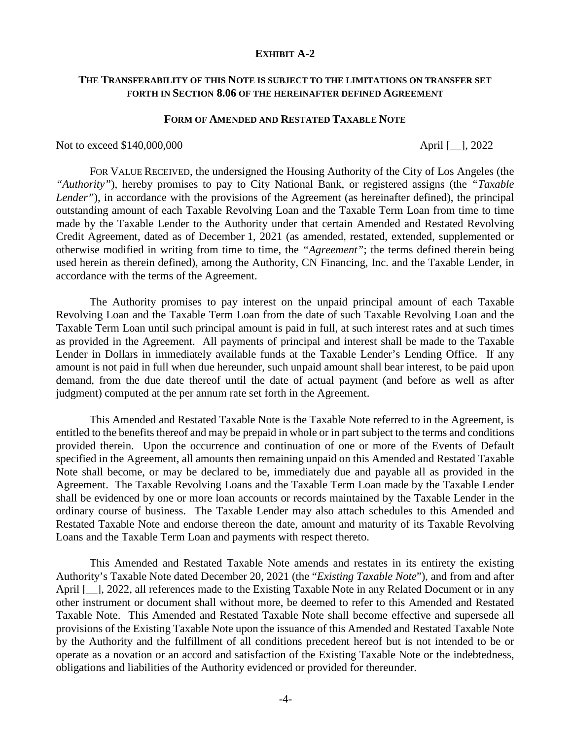#### **EXHIBIT A-2**

#### **THE TRANSFERABILITY OF THIS NOTE IS SUBJECT TO THE LIMITATIONS ON TRANSFER SET FORTH IN SECTION 8.06 OF THE HEREINAFTER DEFINED AGREEMENT**

#### **FORM OF AMENDED AND RESTATED TAXABLE NOTE**

#### Not to exceed \$140,000,000 April [\_\_], 2022

FOR VALUE RECEIVED, the undersigned the Housing Authority of the City of Los Angeles (the *"Authority"*), hereby promises to pay to City National Bank, or registered assigns (the *"Taxable Lender"*), in accordance with the provisions of the Agreement (as hereinafter defined), the principal outstanding amount of each Taxable Revolving Loan and the Taxable Term Loan from time to time made by the Taxable Lender to the Authority under that certain Amended and Restated Revolving Credit Agreement, dated as of December 1, 2021 (as amended, restated, extended, supplemented or otherwise modified in writing from time to time, the *"Agreement"*; the terms defined therein being used herein as therein defined), among the Authority, CN Financing, Inc. and the Taxable Lender, in accordance with the terms of the Agreement.

The Authority promises to pay interest on the unpaid principal amount of each Taxable Revolving Loan and the Taxable Term Loan from the date of such Taxable Revolving Loan and the Taxable Term Loan until such principal amount is paid in full, at such interest rates and at such times as provided in the Agreement. All payments of principal and interest shall be made to the Taxable Lender in Dollars in immediately available funds at the Taxable Lender's Lending Office. If any amount is not paid in full when due hereunder, such unpaid amount shall bear interest, to be paid upon demand, from the due date thereof until the date of actual payment (and before as well as after judgment) computed at the per annum rate set forth in the Agreement.

This Amended and Restated Taxable Note is the Taxable Note referred to in the Agreement, is entitled to the benefits thereof and may be prepaid in whole or in part subject to the terms and conditions provided therein. Upon the occurrence and continuation of one or more of the Events of Default specified in the Agreement, all amounts then remaining unpaid on this Amended and Restated Taxable Note shall become, or may be declared to be, immediately due and payable all as provided in the Agreement. The Taxable Revolving Loans and the Taxable Term Loan made by the Taxable Lender shall be evidenced by one or more loan accounts or records maintained by the Taxable Lender in the ordinary course of business. The Taxable Lender may also attach schedules to this Amended and Restated Taxable Note and endorse thereon the date, amount and maturity of its Taxable Revolving Loans and the Taxable Term Loan and payments with respect thereto.

This Amended and Restated Taxable Note amends and restates in its entirety the existing Authority's Taxable Note dated December 20, 2021 (the "*Existing Taxable Note*"), and from and after April [1, 2022, all references made to the Existing Taxable Note in any Related Document or in any other instrument or document shall without more, be deemed to refer to this Amended and Restated Taxable Note. This Amended and Restated Taxable Note shall become effective and supersede all provisions of the Existing Taxable Note upon the issuance of this Amended and Restated Taxable Note by the Authority and the fulfillment of all conditions precedent hereof but is not intended to be or operate as a novation or an accord and satisfaction of the Existing Taxable Note or the indebtedness, obligations and liabilities of the Authority evidenced or provided for thereunder.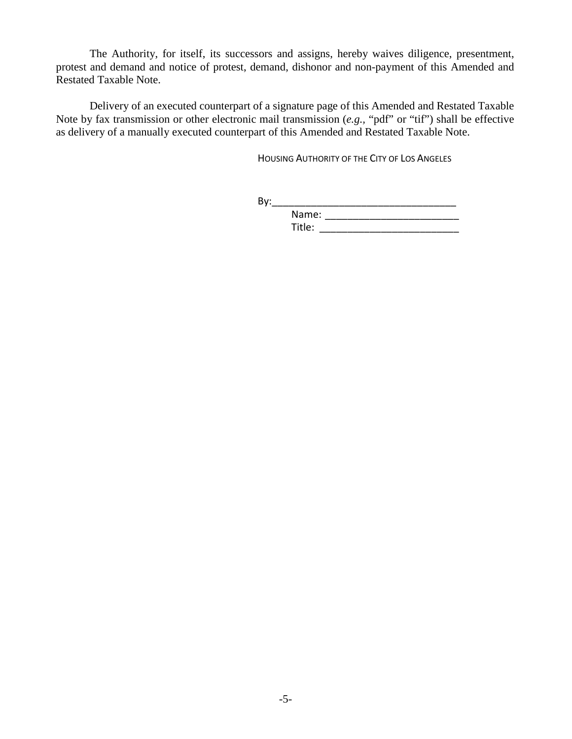The Authority, for itself, its successors and assigns, hereby waives diligence, presentment, protest and demand and notice of protest, demand, dishonor and non-payment of this Amended and Restated Taxable Note.

Delivery of an executed counterpart of a signature page of this Amended and Restated Taxable Note by fax transmission or other electronic mail transmission (*e.g.,* "pdf" or "tif") shall be effective as delivery of a manually executed counterpart of this Amended and Restated Taxable Note.

HOUSING AUTHORITY OF THE CITY OF LOS ANGELES

By:\_\_\_\_\_\_\_\_\_\_\_\_\_\_\_\_\_\_\_\_\_\_\_\_\_\_\_\_\_\_\_\_\_ Name: \_\_\_\_\_\_\_\_\_\_\_\_\_\_\_\_\_\_\_\_\_\_\_\_

Title: \_\_\_\_\_\_\_\_\_\_\_\_\_\_\_\_\_\_\_\_\_\_\_\_\_